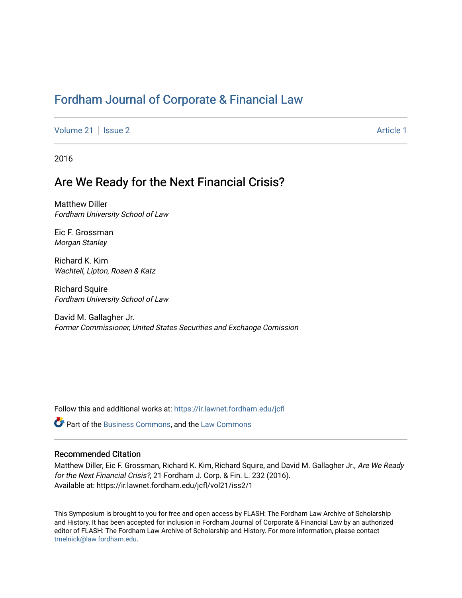# [Fordham Journal of Corporate & Financial Law](https://ir.lawnet.fordham.edu/jcfl)

[Volume 21](https://ir.lawnet.fordham.edu/jcfl/vol21) | [Issue 2](https://ir.lawnet.fordham.edu/jcfl/vol21/iss2) Article 1

2016

# Are We Ready for the Next Financial Crisis?

Matthew Diller Fordham University School of Law

Eic F. Grossman Morgan Stanley

Richard K. Kim Wachtell, Lipton, Rosen & Katz

Richard Squire Fordham University School of Law

David M. Gallagher Jr. Former Commissioner, United States Securities and Exchange Comission

Follow this and additional works at: [https://ir.lawnet.fordham.edu/jcfl](https://ir.lawnet.fordham.edu/jcfl?utm_source=ir.lawnet.fordham.edu%2Fjcfl%2Fvol21%2Fiss2%2F1&utm_medium=PDF&utm_campaign=PDFCoverPages) 

**P** Part of the [Business Commons](http://network.bepress.com/hgg/discipline/622?utm_source=ir.lawnet.fordham.edu%2Fjcfl%2Fvol21%2Fiss2%2F1&utm_medium=PDF&utm_campaign=PDFCoverPages), and the [Law Commons](http://network.bepress.com/hgg/discipline/578?utm_source=ir.lawnet.fordham.edu%2Fjcfl%2Fvol21%2Fiss2%2F1&utm_medium=PDF&utm_campaign=PDFCoverPages)

# Recommended Citation

Matthew Diller, Eic F. Grossman, Richard K. Kim, Richard Squire, and David M. Gallagher Jr., Are We Ready for the Next Financial Crisis?, 21 Fordham J. Corp. & Fin. L. 232 (2016). Available at: https://ir.lawnet.fordham.edu/jcfl/vol21/iss2/1

This Symposium is brought to you for free and open access by FLASH: The Fordham Law Archive of Scholarship and History. It has been accepted for inclusion in Fordham Journal of Corporate & Financial Law by an authorized editor of FLASH: The Fordham Law Archive of Scholarship and History. For more information, please contact [tmelnick@law.fordham.edu](mailto:tmelnick@law.fordham.edu).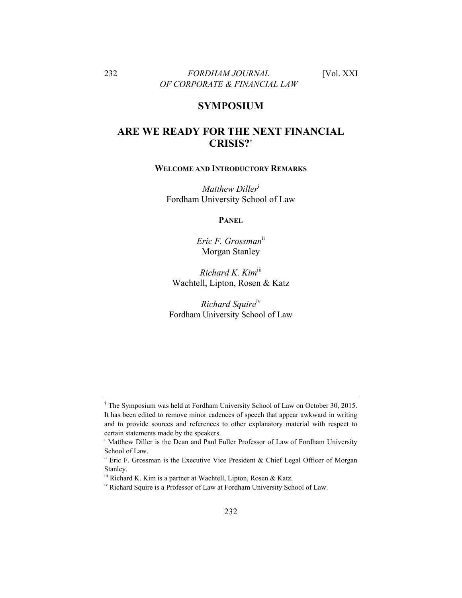## **SYMPOSIUM**

# **ARE WE READY FOR THE NEXT FINANCIAL CRISIS?†**

#### **WELCOME AND INTRODUCTORY REMARKS**

*Matthew Diller*<sup>i</sup> Fordham University School of Law

**PANEL**

*Eric F. Grossman*ii Morgan Stanley

*Richard K. Kim*iii Wachtell, Lipton, Rosen & Katz

*Richard Squire*iv Fordham University School of Law

<sup>&</sup>lt;sup>†</sup> The Symposium was held at Fordham University School of Law on October 30, 2015. It has been edited to remove minor cadences of speech that appear awkward in writing and to provide sources and references to other explanatory material with respect to certain statements made by the speakers.

<sup>&</sup>lt;sup>i</sup> Matthew Diller is the Dean and Paul Fuller Professor of Law of Fordham University School of Law.

ii Eric F. Grossman is the Executive Vice President & Chief Legal Officer of Morgan Stanley.

iii Richard K. Kim is a partner at Wachtell, Lipton, Rosen & Katz.

iv Richard Squire is a Professor of Law at Fordham University School of Law.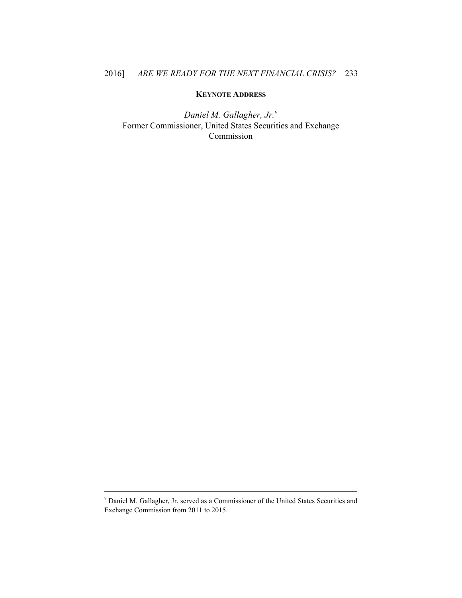### **KEYNOTE ADDRESS**

*Daniel M. Gallagher, Jr.*<sup>v</sup> Former Commissioner, United States Securities and Exchange Commission

v Daniel M. Gallagher, Jr. served as a Commissioner of the United States Securities and Exchange Commission from 2011 to 2015.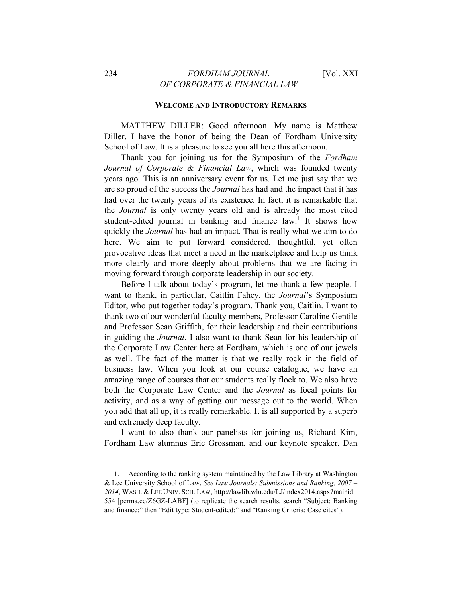#### **WELCOME AND INTRODUCTORY REMARKS**

MATTHEW DILLER: Good afternoon. My name is Matthew Diller. I have the honor of being the Dean of Fordham University School of Law. It is a pleasure to see you all here this afternoon.

Thank you for joining us for the Symposium of the *Fordham Journal of Corporate & Financial Law*, which was founded twenty years ago. This is an anniversary event for us. Let me just say that we are so proud of the success the *Journal* has had and the impact that it has had over the twenty years of its existence. In fact, it is remarkable that the *Journal* is only twenty years old and is already the most cited student-edited journal in banking and finance  $law<sup>1</sup>$ . It shows how quickly the *Journal* has had an impact. That is really what we aim to do here. We aim to put forward considered, thoughtful, yet often provocative ideas that meet a need in the marketplace and help us think more clearly and more deeply about problems that we are facing in moving forward through corporate leadership in our society.

Before I talk about today's program, let me thank a few people. I want to thank, in particular, Caitlin Fahey, the *Journal*'s Symposium Editor, who put together today's program. Thank you, Caitlin. I want to thank two of our wonderful faculty members, Professor Caroline Gentile and Professor Sean Griffith, for their leadership and their contributions in guiding the *Journal*. I also want to thank Sean for his leadership of the Corporate Law Center here at Fordham, which is one of our jewels as well. The fact of the matter is that we really rock in the field of business law. When you look at our course catalogue, we have an amazing range of courses that our students really flock to. We also have both the Corporate Law Center and the *Journal* as focal points for activity, and as a way of getting our message out to the world. When you add that all up, it is really remarkable. It is all supported by a superb and extremely deep faculty.

I want to also thank our panelists for joining us, Richard Kim, Fordham Law alumnus Eric Grossman, and our keynote speaker, Dan

<sup>1.</sup> According to the ranking system maintained by the Law Library at Washington & Lee University School of Law. *See Law Journals: Submissions and Ranking, 2007 – 2014*, WASH. & LEE UNIV. SCH. LAW, http://lawlib.wlu.edu/LJ/index2014.aspx?mainid= 554 [perma.cc/Z6GZ-LABF] (to replicate the search results, search "Subject: Banking and finance;" then "Edit type: Student-edited;" and "Ranking Criteria: Case cites").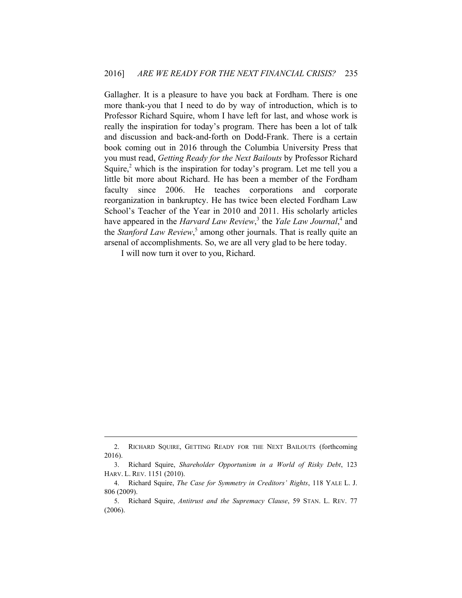Gallagher. It is a pleasure to have you back at Fordham. There is one more thank-you that I need to do by way of introduction, which is to Professor Richard Squire, whom I have left for last, and whose work is really the inspiration for today's program. There has been a lot of talk and discussion and back-and-forth on Dodd-Frank. There is a certain book coming out in 2016 through the Columbia University Press that you must read, *Getting Ready for the Next Bailouts* by Professor Richard Squire, $2$  which is the inspiration for today's program. Let me tell you a little bit more about Richard. He has been a member of the Fordham faculty since 2006. He teaches corporations and corporate reorganization in bankruptcy. He has twice been elected Fordham Law School's Teacher of the Year in 2010 and 2011. His scholarly articles have appeared in the *Harvard Law Review*,<sup>3</sup> the *Yale Law Journal*,<sup>4</sup> and the *Stanford Law Review*,<sup>5</sup> among other journals. That is really quite an arsenal of accomplishments. So, we are all very glad to be here today.

I will now turn it over to you, Richard.

<sup>2.</sup> RICHARD SQUIRE, GETTING READY FOR THE NEXT BAILOUTS (forthcoming 2016).

<sup>3.</sup> Richard Squire, *Shareholder Opportunism in a World of Risky Debt*, 123 HARV. L. REV. 1151 (2010).

<sup>4.</sup> Richard Squire, *The Case for Symmetry in Creditors' Rights*, 118 YALE L. J. 806 (2009).

<sup>5.</sup> Richard Squire, *Antitrust and the Supremacy Clause*, 59 STAN. L. REV. 77 (2006).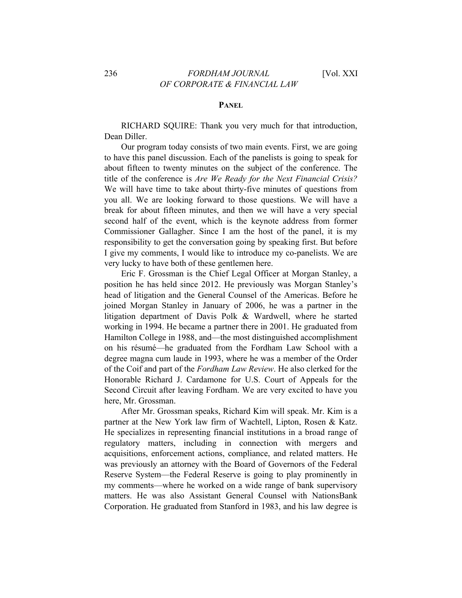#### **PANEL**

RICHARD SQUIRE: Thank you very much for that introduction, Dean Diller.

Our program today consists of two main events. First, we are going to have this panel discussion. Each of the panelists is going to speak for about fifteen to twenty minutes on the subject of the conference. The title of the conference is *Are We Ready for the Next Financial Crisis?* We will have time to take about thirty-five minutes of questions from you all. We are looking forward to those questions. We will have a break for about fifteen minutes, and then we will have a very special second half of the event, which is the keynote address from former Commissioner Gallagher. Since I am the host of the panel, it is my responsibility to get the conversation going by speaking first. But before I give my comments, I would like to introduce my co-panelists. We are very lucky to have both of these gentlemen here.

Eric F. Grossman is the Chief Legal Officer at Morgan Stanley, a position he has held since 2012. He previously was Morgan Stanley's head of litigation and the General Counsel of the Americas. Before he joined Morgan Stanley in January of 2006, he was a partner in the litigation department of Davis Polk & Wardwell, where he started working in 1994. He became a partner there in 2001. He graduated from Hamilton College in 1988, and—the most distinguished accomplishment on his résumé—he graduated from the Fordham Law School with a degree magna cum laude in 1993, where he was a member of the Order of the Coif and part of the *Fordham Law Review*. He also clerked for the Honorable Richard J. Cardamone for U.S. Court of Appeals for the Second Circuit after leaving Fordham. We are very excited to have you here, Mr. Grossman.

After Mr. Grossman speaks, Richard Kim will speak. Mr. Kim is a partner at the New York law firm of Wachtell, Lipton, Rosen & Katz. He specializes in representing financial institutions in a broad range of regulatory matters, including in connection with mergers and acquisitions, enforcement actions, compliance, and related matters. He was previously an attorney with the Board of Governors of the Federal Reserve System—the Federal Reserve is going to play prominently in my comments—where he worked on a wide range of bank supervisory matters. He was also Assistant General Counsel with NationsBank Corporation. He graduated from Stanford in 1983, and his law degree is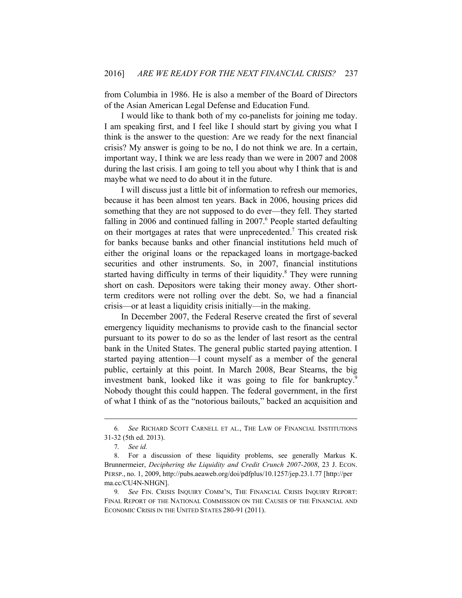from Columbia in 1986. He is also a member of the Board of Directors of the Asian American Legal Defense and Education Fund.

I would like to thank both of my co-panelists for joining me today. I am speaking first, and I feel like I should start by giving you what I think is the answer to the question: Are we ready for the next financial crisis? My answer is going to be no, I do not think we are. In a certain, important way, I think we are less ready than we were in 2007 and 2008 during the last crisis. I am going to tell you about why I think that is and maybe what we need to do about it in the future.

I will discuss just a little bit of information to refresh our memories, because it has been almost ten years. Back in 2006, housing prices did something that they are not supposed to do ever—they fell. They started falling in 2006 and continued falling in  $2007$ .<sup>6</sup> People started defaulting on their mortgages at rates that were unprecedented.<sup>7</sup> This created risk for banks because banks and other financial institutions held much of either the original loans or the repackaged loans in mortgage-backed securities and other instruments. So, in 2007, financial institutions started having difficulty in terms of their liquidity.<sup>8</sup> They were running short on cash. Depositors were taking their money away. Other shortterm creditors were not rolling over the debt. So, we had a financial crisis—or at least a liquidity crisis initially—in the making.

In December 2007, the Federal Reserve created the first of several emergency liquidity mechanisms to provide cash to the financial sector pursuant to its power to do so as the lender of last resort as the central bank in the United States. The general public started paying attention. I started paying attention—I count myself as a member of the general public, certainly at this point. In March 2008, Bear Stearns, the big investment bank, looked like it was going to file for bankruptcy.<sup>9</sup> Nobody thought this could happen. The federal government, in the first of what I think of as the "notorious bailouts," backed an acquisition and

<sup>6</sup>*. See* RICHARD SCOTT CARNELL ET AL., THE LAW OF FINANCIAL INSTITUTIONS 31-32 (5th ed. 2013).

<sup>7</sup>*. See id.*

<sup>8.</sup> For a discussion of these liquidity problems, see generally Markus K. Brunnermeier, *Deciphering the Liquidity and Credit Crunch 2007-2008*, 23 J. ECON. PERSP., no. 1, 2009, http://pubs.aeaweb.org/doi/pdfplus/10.1257/jep.23.1.77 [http://per ma.cc/CU4N-NHGN].

<sup>9</sup>*. See* FIN. CRISIS INQUIRY COMM'N, THE FINANCIAL CRISIS INQUIRY REPORT: FINAL REPORT OF THE NATIONAL COMMISSION ON THE CAUSES OF THE FINANCIAL AND ECONOMIC CRISIS IN THE UNITED STATES 280-91 (2011).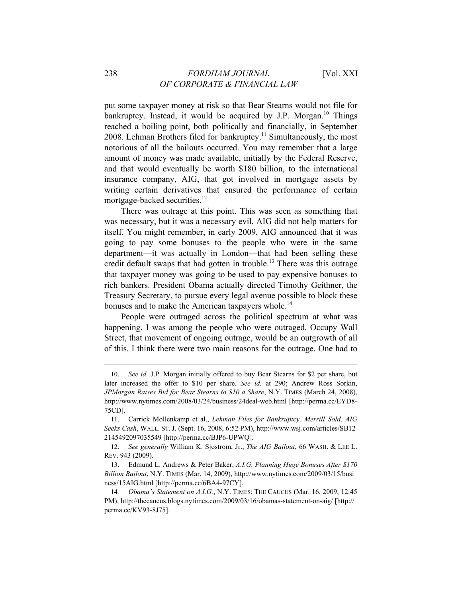put some taxpayer money at risk so that Bear Stearns would not file for bankruptcy. Instead, it would be acquired by J.P. Morgan.<sup>10</sup> Things reached a boiling point, both politically and financially, in September 2008. Lehman Brothers filed for bankruptcy.<sup>11</sup> Simultaneously, the most notorious of all the bailouts occurred. You may remember that a large amount of money was made available, initially by the Federal Reserve, and that would eventually be worth \$180 billion, to the international insurance company, AIG, that got involved in mortgage assets by writing certain derivatives that ensured the performance of certain mortgage-backed securities.<sup>12</sup>

There was outrage at this point. This was seen as something that was necessary, but it was a necessary evil. AIG did not help matters for itself. You might remember, in early 2009, AIG announced that it was going to pay some bonuses to the people who were in the same department—it was actually in London—that had been selling these credit default swaps that had gotten in trouble.13 There was this outrage that taxpayer money was going to be used to pay expensive bonuses to rich bankers. President Obama actually directed Timothy Geithner, the Treasury Secretary, to pursue every legal avenue possible to block these bonuses and to make the American taxpayers whole.<sup>14</sup>

People were outraged across the political spectrum at what was happening. I was among the people who were outraged. Occupy Wall Street, that movement of ongoing outrage, would be an outgrowth of all of this. I think there were two main reasons for the outrage. One had to

<sup>10.</sup> *See id.* J.P. Morgan initially offered to buy Bear Stearns for \$2 per share, but later increased the offer to \$10 per share. *See id.* at 290; Andrew Ross Sorkin, *JPMorgan Raises Bid for Bear Stearns to \$10 a Share*, N.Y. TIMES (March 24, 2008), http://www.nytimes.com/2008/03/24/business/24deal-web.html [http://perma.cc/EYD8- 75CD].

<sup>11.</sup> Carrick Mollenkamp et al., *Lehman Files for Bankruptcy, Merrill Sold, AIG Seeks Cash*, WALL. ST. J. (Sept. 16, 2008, 6:52 PM), http://www.wsj.com/articles/SB12 2145492097035549 [http://perma.cc/BJP6-UPWQ].

<sup>12.</sup> *See generally* William K. Sjostrom, Jr., *The AIG Bailout*, 66 WASH. & LEE L. REV. 943 (2009).

<sup>13.</sup> Edmund L. Andrews & Peter Baker, *A.I.G. Planning Huge Bonuses After \$170 Billion Bailout*, N.Y. TIMES (Mar. 14, 2009), http://www.nytimes.com/2009/03/15/busi ness/15AIG.html [http://perma.cc/6BA4-97CY].

<sup>14</sup>*. Obama's Statement on A.I.G.*, N.Y. TIMES: THE CAUCUS (Mar. 16, 2009, 12:45 PM), http://thecaucus.blogs.nytimes.com/2009/03/16/obamas-statement-on-aig/ [http:// perma.cc/KV93-8J75].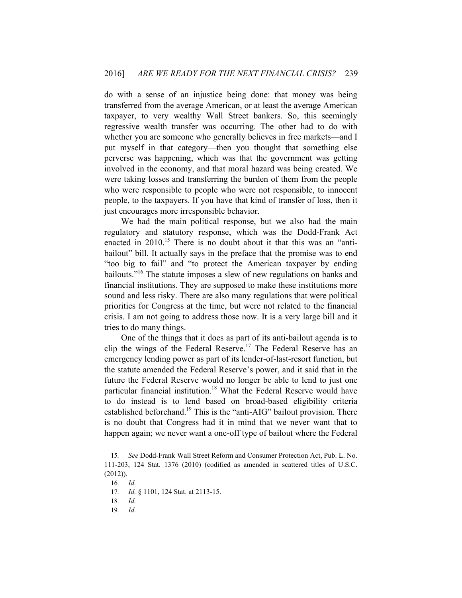do with a sense of an injustice being done: that money was being transferred from the average American, or at least the average American taxpayer, to very wealthy Wall Street bankers. So, this seemingly regressive wealth transfer was occurring. The other had to do with whether you are someone who generally believes in free markets—and I put myself in that category—then you thought that something else perverse was happening, which was that the government was getting involved in the economy, and that moral hazard was being created. We were taking losses and transferring the burden of them from the people who were responsible to people who were not responsible, to innocent people, to the taxpayers. If you have that kind of transfer of loss, then it just encourages more irresponsible behavior.

We had the main political response, but we also had the main regulatory and statutory response, which was the Dodd-Frank Act enacted in 2010.<sup>15</sup> There is no doubt about it that this was an "antibailout" bill. It actually says in the preface that the promise was to end "too big to fail" and "to protect the American taxpayer by ending bailouts."16 The statute imposes a slew of new regulations on banks and financial institutions. They are supposed to make these institutions more sound and less risky. There are also many regulations that were political priorities for Congress at the time, but were not related to the financial crisis. I am not going to address those now. It is a very large bill and it tries to do many things.

One of the things that it does as part of its anti-bailout agenda is to clip the wings of the Federal Reserve.<sup>17</sup> The Federal Reserve has an emergency lending power as part of its lender-of-last-resort function, but the statute amended the Federal Reserve's power, and it said that in the future the Federal Reserve would no longer be able to lend to just one particular financial institution.<sup>18</sup> What the Federal Reserve would have to do instead is to lend based on broad-based eligibility criteria established beforehand.<sup>19</sup> This is the "anti-AIG" bailout provision. There is no doubt that Congress had it in mind that we never want that to happen again; we never want a one-off type of bailout where the Federal

<sup>15</sup>*. See* Dodd-Frank Wall Street Reform and Consumer Protection Act, Pub. L. No. 111-203, 124 Stat. 1376 (2010) (codified as amended in scattered titles of U.S.C. (2012)).

<sup>16</sup>*. Id.* 

<sup>17</sup>*. Id.* § 1101, 124 Stat. at 2113-15.

<sup>18</sup>*. Id.*

<sup>19</sup>*. Id.*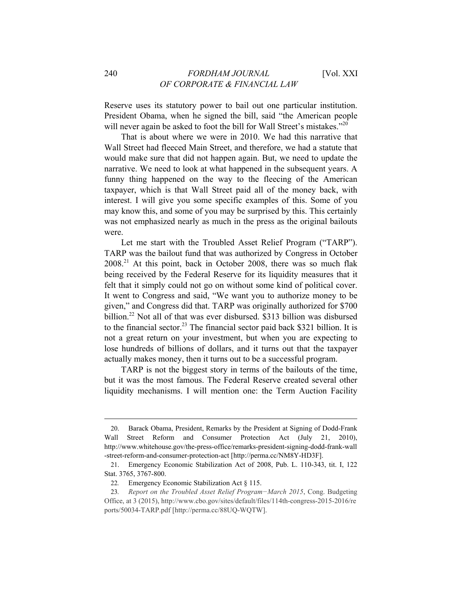Reserve uses its statutory power to bail out one particular institution. President Obama, when he signed the bill, said "the American people will never again be asked to foot the bill for Wall Street's mistakes."<sup>20</sup>

That is about where we were in 2010. We had this narrative that Wall Street had fleeced Main Street, and therefore, we had a statute that would make sure that did not happen again. But, we need to update the narrative. We need to look at what happened in the subsequent years. A funny thing happened on the way to the fleecing of the American taxpayer, which is that Wall Street paid all of the money back, with interest. I will give you some specific examples of this. Some of you may know this, and some of you may be surprised by this. This certainly was not emphasized nearly as much in the press as the original bailouts were.

Let me start with the Troubled Asset Relief Program ("TARP"). TARP was the bailout fund that was authorized by Congress in October 2008.21 At this point, back in October 2008, there was so much flak being received by the Federal Reserve for its liquidity measures that it felt that it simply could not go on without some kind of political cover. It went to Congress and said, "We want you to authorize money to be given," and Congress did that. TARP was originally authorized for \$700 billion.<sup>22</sup> Not all of that was ever disbursed. \$313 billion was disbursed to the financial sector.<sup>23</sup> The financial sector paid back \$321 billion. It is not a great return on your investment, but when you are expecting to lose hundreds of billions of dollars, and it turns out that the taxpayer actually makes money, then it turns out to be a successful program.

TARP is not the biggest story in terms of the bailouts of the time, but it was the most famous. The Federal Reserve created several other liquidity mechanisms. I will mention one: the Term Auction Facility

<sup>20.</sup> Barack Obama, President, Remarks by the President at Signing of Dodd-Frank Wall Street Reform and Consumer Protection Act (July 21, 2010), http://www.whitehouse.gov/the-press-office/remarks-president-signing-dodd-frank-wall -street-reform-and-consumer-protection-act [http://perma.cc/NM8Y-HD3F].

<sup>21.</sup> Emergency Economic Stabilization Act of 2008, Pub. L. 110-343, tit. I, 122 Stat. 3765, 3767-800.

<sup>22</sup>*.* Emergency Economic Stabilization Act § 115.

<sup>23</sup>*. Report on the Troubled Asset Relief Program−March 2015*, Cong. Budgeting Office, at 3 (2015), http://www.cbo.gov/sites/default/files/114th-congress-2015-2016/re ports/50034-TARP.pdf [http://perma.cc/88UQ-WQTW].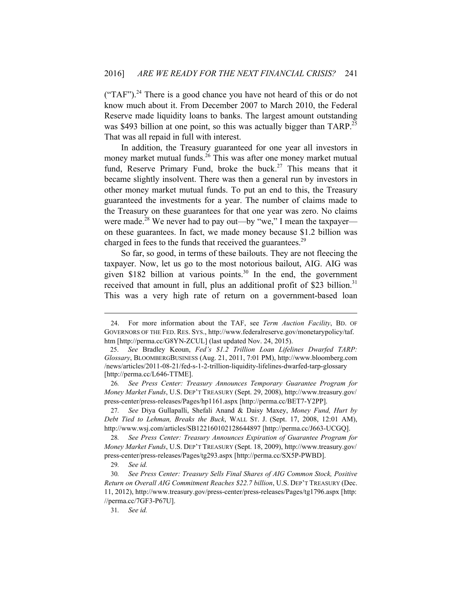$("TAF")$ .<sup>24</sup> There is a good chance you have not heard of this or do not know much about it. From December 2007 to March 2010, the Federal Reserve made liquidity loans to banks. The largest amount outstanding was \$493 billion at one point, so this was actually bigger than TARP.<sup>25</sup> That was all repaid in full with interest.

In addition, the Treasury guaranteed for one year all investors in money market mutual funds.<sup>26</sup> This was after one money market mutual fund, Reserve Primary Fund, broke the buck.<sup>27</sup> This means that it became slightly insolvent. There was then a general run by investors in other money market mutual funds. To put an end to this, the Treasury guaranteed the investments for a year. The number of claims made to the Treasury on these guarantees for that one year was zero. No claims were made.<sup>28</sup> We never had to pay out—by "we," I mean the taxpayer on these guarantees. In fact, we made money because \$1.2 billion was charged in fees to the funds that received the guarantees.<sup>29</sup>

So far, so good, in terms of these bailouts. They are not fleecing the taxpayer. Now, let us go to the most notorious bailout, AIG. AIG was given \$182 billion at various points.<sup>30</sup> In the end, the government received that amount in full, plus an additional profit of \$23 billion.<sup>31</sup> This was a very high rate of return on a government-based loan

<sup>24.</sup> For more information about the TAF, see *Term Auction Facility*, BD. OF GOVERNORS OF THE FED. RES. SYS., http://www.federalreserve.gov/monetarypolicy/taf. htm [http://perma.cc/G8YN-ZCUL] (last updated Nov. 24, 2015).

 <sup>25.</sup> *See* Bradley Keoun, *Fed's \$1.2 Trillion Loan Lifelines Dwarfed TARP: Glossary*, BLOOMBERGBUSINESS (Aug. 21, 2011, 7:01 PM), http://www.bloomberg.com /news/articles/2011-08-21/fed-s-1-2-trillion-liquidity-lifelines-dwarfed-tarp-glossary [http://perma.cc/L646-TTME].

<sup>26</sup>*. See Press Center: Treasury Announces Temporary Guarantee Program for Money Market Funds*, U.S. DEP'T TREASURY (Sept. 29, 2008), http://www.treasury.gov/ press-center/press-releases/Pages/hp1161.aspx [http://perma.cc/BET7-Y2PP].

<sup>27</sup>*. See* Diya Gullapalli, Shefali Anand & Daisy Maxey, *Money Fund, Hurt by Debt Tied to Lehman, Breaks the Buck*, WALL ST. J. (Sept. 17, 2008, 12:01 AM), http://www.wsj.com/articles/SB122160102128644897 [http://perma.cc/J663-UCGQ].

<sup>28</sup>*. See Press Center: Treasury Announces Expiration of Guarantee Program for Money Market Funds*, U.S. DEP'T TREASURY (Sept. 18, 2009), http://www.treasury.gov/ press-center/press-releases/Pages/tg293.aspx [http://perma.cc/SX5P-PWBD].

<sup>29</sup>*. See id.*

<sup>30</sup>*. See Press Center: Treasury Sells Final Shares of AIG Common Stock, Positive Return on Overall AIG Commitment Reaches \$22.7 billion*, U.S. DEP'T TREASURY (Dec. 11, 2012), http://www.treasury.gov/press-center/press-releases/Pages/tg1796.aspx [http: //perma.cc/7GF3-P67U].

<sup>31</sup>*. See id.*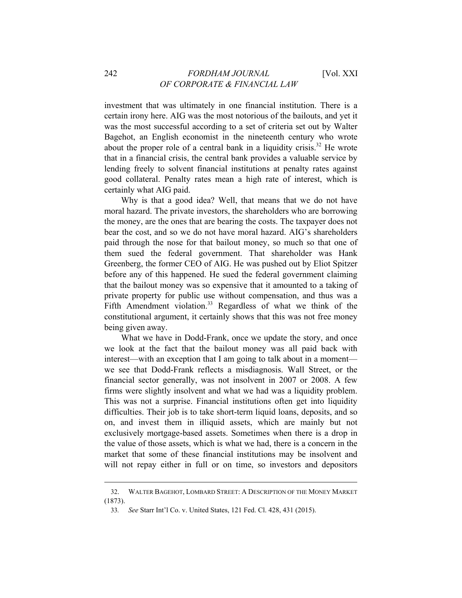investment that was ultimately in one financial institution. There is a certain irony here. AIG was the most notorious of the bailouts, and yet it was the most successful according to a set of criteria set out by Walter Bagehot, an English economist in the nineteenth century who wrote about the proper role of a central bank in a liquidity crisis.<sup>32</sup> He wrote that in a financial crisis, the central bank provides a valuable service by lending freely to solvent financial institutions at penalty rates against good collateral. Penalty rates mean a high rate of interest, which is certainly what AIG paid.

Why is that a good idea? Well, that means that we do not have moral hazard. The private investors, the shareholders who are borrowing the money, are the ones that are bearing the costs. The taxpayer does not bear the cost, and so we do not have moral hazard. AIG's shareholders paid through the nose for that bailout money, so much so that one of them sued the federal government. That shareholder was Hank Greenberg, the former CEO of AIG. He was pushed out by Eliot Spitzer before any of this happened. He sued the federal government claiming that the bailout money was so expensive that it amounted to a taking of private property for public use without compensation, and thus was a Fifth Amendment violation.<sup>33</sup> Regardless of what we think of the constitutional argument, it certainly shows that this was not free money being given away.

What we have in Dodd-Frank, once we update the story, and once we look at the fact that the bailout money was all paid back with interest—with an exception that I am going to talk about in a moment we see that Dodd-Frank reflects a misdiagnosis. Wall Street, or the financial sector generally, was not insolvent in 2007 or 2008. A few firms were slightly insolvent and what we had was a liquidity problem. This was not a surprise. Financial institutions often get into liquidity difficulties. Their job is to take short-term liquid loans, deposits, and so on, and invest them in illiquid assets, which are mainly but not exclusively mortgage-based assets. Sometimes when there is a drop in the value of those assets, which is what we had, there is a concern in the market that some of these financial institutions may be insolvent and will not repay either in full or on time, so investors and depositors

<sup>32.</sup> WALTER BAGEHOT, LOMBARD STREET: A DESCRIPTION OF THE MONEY MARKET (1873).

<sup>33</sup>*. See* Starr Int'l Co. v. United States, 121 Fed. Cl. 428, 431 (2015).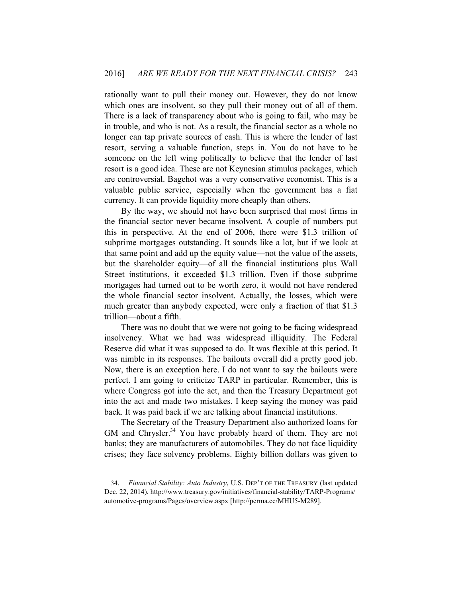rationally want to pull their money out. However, they do not know which ones are insolvent, so they pull their money out of all of them. There is a lack of transparency about who is going to fail, who may be in trouble, and who is not. As a result, the financial sector as a whole no longer can tap private sources of cash. This is where the lender of last resort, serving a valuable function, steps in. You do not have to be someone on the left wing politically to believe that the lender of last resort is a good idea. These are not Keynesian stimulus packages, which are controversial. Bagehot was a very conservative economist. This is a valuable public service, especially when the government has a fiat currency. It can provide liquidity more cheaply than others.

By the way, we should not have been surprised that most firms in the financial sector never became insolvent. A couple of numbers put this in perspective. At the end of 2006, there were \$1.3 trillion of subprime mortgages outstanding. It sounds like a lot, but if we look at that same point and add up the equity value—not the value of the assets, but the shareholder equity—of all the financial institutions plus Wall Street institutions, it exceeded \$1.3 trillion. Even if those subprime mortgages had turned out to be worth zero, it would not have rendered the whole financial sector insolvent. Actually, the losses, which were much greater than anybody expected, were only a fraction of that \$1.3 trillion—about a fifth.

There was no doubt that we were not going to be facing widespread insolvency. What we had was widespread illiquidity. The Federal Reserve did what it was supposed to do. It was flexible at this period. It was nimble in its responses. The bailouts overall did a pretty good job. Now, there is an exception here. I do not want to say the bailouts were perfect. I am going to criticize TARP in particular. Remember, this is where Congress got into the act, and then the Treasury Department got into the act and made two mistakes. I keep saying the money was paid back. It was paid back if we are talking about financial institutions.

The Secretary of the Treasury Department also authorized loans for GM and Chrysler.<sup>34</sup> You have probably heard of them. They are not banks; they are manufacturers of automobiles. They do not face liquidity crises; they face solvency problems. Eighty billion dollars was given to

<sup>34.</sup> *Financial Stability: Auto Industry*, U.S. DEP'T OF THE TREASURY (last updated Dec. 22, 2014), http://www.treasury.gov/initiatives/financial-stability/TARP-Programs/ automotive-programs/Pages/overview.aspx [http://perma.cc/MHU5-M289].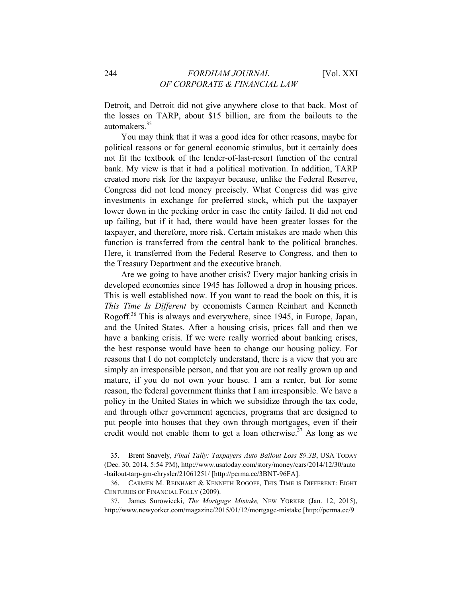Detroit, and Detroit did not give anywhere close to that back. Most of the losses on TARP, about \$15 billion, are from the bailouts to the automakers<sup>35</sup>

You may think that it was a good idea for other reasons, maybe for political reasons or for general economic stimulus, but it certainly does not fit the textbook of the lender-of-last-resort function of the central bank. My view is that it had a political motivation. In addition, TARP created more risk for the taxpayer because, unlike the Federal Reserve, Congress did not lend money precisely. What Congress did was give investments in exchange for preferred stock, which put the taxpayer lower down in the pecking order in case the entity failed. It did not end up failing, but if it had, there would have been greater losses for the taxpayer, and therefore, more risk. Certain mistakes are made when this function is transferred from the central bank to the political branches. Here, it transferred from the Federal Reserve to Congress, and then to the Treasury Department and the executive branch.

Are we going to have another crisis? Every major banking crisis in developed economies since 1945 has followed a drop in housing prices. This is well established now. If you want to read the book on this, it is *This Time Is Different* by economists Carmen Reinhart and Kenneth Rogoff.<sup>36</sup> This is always and everywhere, since 1945, in Europe, Japan, and the United States. After a housing crisis, prices fall and then we have a banking crisis. If we were really worried about banking crises, the best response would have been to change our housing policy. For reasons that I do not completely understand, there is a view that you are simply an irresponsible person, and that you are not really grown up and mature, if you do not own your house. I am a renter, but for some reason, the federal government thinks that I am irresponsible. We have a policy in the United States in which we subsidize through the tax code, and through other government agencies, programs that are designed to put people into houses that they own through mortgages, even if their credit would not enable them to get a loan otherwise.<sup> $37$ </sup> As long as we

<sup>35.</sup> Brent Snavely, *Final Tally: Taxpayers Auto Bailout Loss \$9.3B*, USA TODAY (Dec. 30, 2014, 5:54 PM), http://www.usatoday.com/story/money/cars/2014/12/30/auto -bailout-tarp-gm-chrysler/21061251/ [http://perma.cc/3BNT-96FA].

<sup>36.</sup> CARMEN M. REINHART & KENNETH ROGOFF, THIS TIME IS DIFFERENT: EIGHT CENTURIES OF FINANCIAL FOLLY (2009).

<sup>37.</sup> James Surowiecki, *The Mortgage Mistake,* NEW YORKER (Jan. 12, 2015), http://www.newyorker.com/magazine/2015/01/12/mortgage-mistake [http://perma.cc/9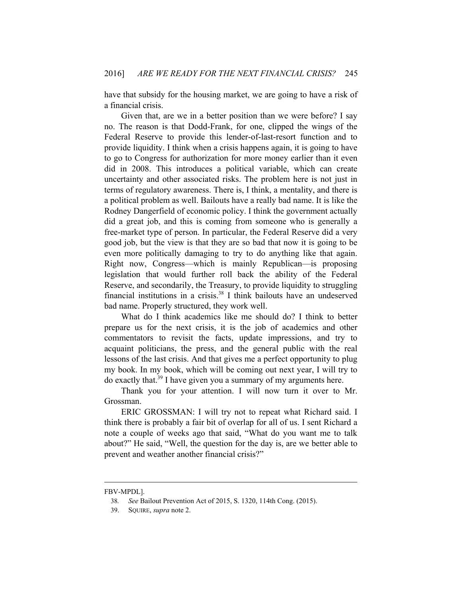have that subsidy for the housing market, we are going to have a risk of a financial crisis.

Given that, are we in a better position than we were before? I say no. The reason is that Dodd-Frank, for one, clipped the wings of the Federal Reserve to provide this lender-of-last-resort function and to provide liquidity. I think when a crisis happens again, it is going to have to go to Congress for authorization for more money earlier than it even did in 2008. This introduces a political variable, which can create uncertainty and other associated risks. The problem here is not just in terms of regulatory awareness. There is, I think, a mentality, and there is a political problem as well. Bailouts have a really bad name. It is like the Rodney Dangerfield of economic policy. I think the government actually did a great job, and this is coming from someone who is generally a free-market type of person. In particular, the Federal Reserve did a very good job, but the view is that they are so bad that now it is going to be even more politically damaging to try to do anything like that again. Right now, Congress—which is mainly Republican—is proposing legislation that would further roll back the ability of the Federal Reserve, and secondarily, the Treasury, to provide liquidity to struggling financial institutions in a crisis.38 I think bailouts have an undeserved bad name. Properly structured, they work well.

What do I think academics like me should do? I think to better prepare us for the next crisis, it is the job of academics and other commentators to revisit the facts, update impressions, and try to acquaint politicians, the press, and the general public with the real lessons of the last crisis. And that gives me a perfect opportunity to plug my book. In my book, which will be coming out next year, I will try to do exactly that.<sup>39</sup> I have given you a summary of my arguments here.

Thank you for your attention. I will now turn it over to Mr. Grossman.

ERIC GROSSMAN: I will try not to repeat what Richard said. I think there is probably a fair bit of overlap for all of us. I sent Richard a note a couple of weeks ago that said, "What do you want me to talk about?" He said, "Well, the question for the day is, are we better able to prevent and weather another financial crisis?"

FBV-MPDL].

<sup>38</sup>*. See* Bailout Prevention Act of 2015, S. 1320, 114th Cong. (2015).

<sup>39.</sup> SQUIRE, *supra* note 2.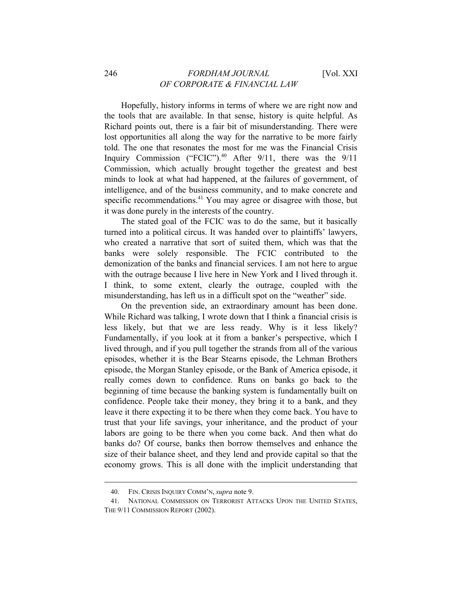Hopefully, history informs in terms of where we are right now and the tools that are available. In that sense, history is quite helpful. As Richard points out, there is a fair bit of misunderstanding. There were lost opportunities all along the way for the narrative to be more fairly told. The one that resonates the most for me was the Financial Crisis Inquiry Commission ("FCIC").<sup>40</sup> After  $9/11$ , there was the  $9/11$ Commission, which actually brought together the greatest and best minds to look at what had happened, at the failures of government, of intelligence, and of the business community, and to make concrete and specific recommendations.<sup>41</sup> You may agree or disagree with those, but it was done purely in the interests of the country.

The stated goal of the FCIC was to do the same, but it basically turned into a political circus. It was handed over to plaintiffs' lawyers, who created a narrative that sort of suited them, which was that the banks were solely responsible. The FCIC contributed to the demonization of the banks and financial services. I am not here to argue with the outrage because I live here in New York and I lived through it. I think, to some extent, clearly the outrage, coupled with the misunderstanding, has left us in a difficult spot on the "weather" side.

On the prevention side, an extraordinary amount has been done. While Richard was talking, I wrote down that I think a financial crisis is less likely, but that we are less ready. Why is it less likely? Fundamentally, if you look at it from a banker's perspective, which I lived through, and if you pull together the strands from all of the various episodes, whether it is the Bear Stearns episode, the Lehman Brothers episode, the Morgan Stanley episode, or the Bank of America episode, it really comes down to confidence. Runs on banks go back to the beginning of time because the banking system is fundamentally built on confidence. People take their money, they bring it to a bank, and they leave it there expecting it to be there when they come back. You have to trust that your life savings, your inheritance, and the product of your labors are going to be there when you come back. And then what do banks do? Of course, banks then borrow themselves and enhance the size of their balance sheet, and they lend and provide capital so that the economy grows. This is all done with the implicit understanding that

<sup>40.</sup> FIN. CRISIS INQUIRY COMM'N, *supra* note 9.

<sup>41.</sup> NATIONAL COMMISSION ON TERRORIST ATTACKS UPON THE UNITED STATES, THE 9/11 COMMISSION REPORT (2002).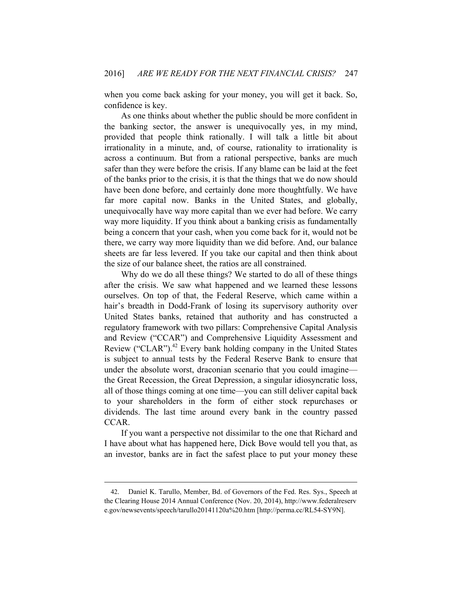when you come back asking for your money, you will get it back. So, confidence is key.

As one thinks about whether the public should be more confident in the banking sector, the answer is unequivocally yes, in my mind, provided that people think rationally. I will talk a little bit about irrationality in a minute, and, of course, rationality to irrationality is across a continuum. But from a rational perspective, banks are much safer than they were before the crisis. If any blame can be laid at the feet of the banks prior to the crisis, it is that the things that we do now should have been done before, and certainly done more thoughtfully. We have far more capital now. Banks in the United States, and globally, unequivocally have way more capital than we ever had before. We carry way more liquidity. If you think about a banking crisis as fundamentally being a concern that your cash, when you come back for it, would not be there, we carry way more liquidity than we did before. And, our balance sheets are far less levered. If you take our capital and then think about the size of our balance sheet, the ratios are all constrained.

Why do we do all these things? We started to do all of these things after the crisis. We saw what happened and we learned these lessons ourselves. On top of that, the Federal Reserve, which came within a hair's breadth in Dodd-Frank of losing its supervisory authority over United States banks, retained that authority and has constructed a regulatory framework with two pillars: Comprehensive Capital Analysis and Review ("CCAR") and Comprehensive Liquidity Assessment and Review ("CLAR"). $42$  Every bank holding company in the United States is subject to annual tests by the Federal Reserve Bank to ensure that under the absolute worst, draconian scenario that you could imagine the Great Recession, the Great Depression, a singular idiosyncratic loss, all of those things coming at one time—you can still deliver capital back to your shareholders in the form of either stock repurchases or dividends. The last time around every bank in the country passed CCAR.

If you want a perspective not dissimilar to the one that Richard and I have about what has happened here, Dick Bove would tell you that, as an investor, banks are in fact the safest place to put your money these

<sup>42.</sup> Daniel K. Tarullo, Member, Bd. of Governors of the Fed. Res. Sys., Speech at the Clearing House 2014 Annual Conference (Nov. 20, 2014), http://www.federalreserv e.gov/newsevents/speech/tarullo20141120a%20.htm [http://perma.cc/RL54-SY9N].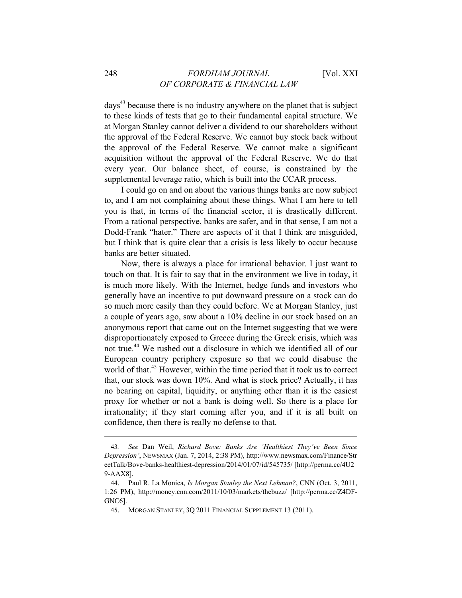days<sup>43</sup> because there is no industry anywhere on the planet that is subject to these kinds of tests that go to their fundamental capital structure. We at Morgan Stanley cannot deliver a dividend to our shareholders without the approval of the Federal Reserve. We cannot buy stock back without the approval of the Federal Reserve. We cannot make a significant acquisition without the approval of the Federal Reserve. We do that every year. Our balance sheet, of course, is constrained by the supplemental leverage ratio, which is built into the CCAR process.

I could go on and on about the various things banks are now subject to, and I am not complaining about these things. What I am here to tell you is that, in terms of the financial sector, it is drastically different. From a rational perspective, banks are safer, and in that sense, I am not a Dodd-Frank "hater." There are aspects of it that I think are misguided, but I think that is quite clear that a crisis is less likely to occur because banks are better situated.

Now, there is always a place for irrational behavior. I just want to touch on that. It is fair to say that in the environment we live in today, it is much more likely. With the Internet, hedge funds and investors who generally have an incentive to put downward pressure on a stock can do so much more easily than they could before. We at Morgan Stanley, just a couple of years ago, saw about a 10% decline in our stock based on an anonymous report that came out on the Internet suggesting that we were disproportionately exposed to Greece during the Greek crisis, which was not true.<sup>44</sup> We rushed out a disclosure in which we identified all of our European country periphery exposure so that we could disabuse the world of that.<sup>45</sup> However, within the time period that it took us to correct that, our stock was down 10%. And what is stock price? Actually, it has no bearing on capital, liquidity, or anything other than it is the easiest proxy for whether or not a bank is doing well. So there is a place for irrationality; if they start coming after you, and if it is all built on confidence, then there is really no defense to that.

<sup>43</sup>*. See* Dan Weil, *Richard Bove: Banks Are 'Healthiest They've Been Since Depression'*, NEWSMAX (Jan. 7, 2014, 2:38 PM), http://www.newsmax.com/Finance/Str eetTalk/Bove-banks-healthiest-depression/2014/01/07/id/545735/ [http://perma.cc/4U2 9-AAX8].

<sup>44.</sup> Paul R. La Monica, *Is Morgan Stanley the Next Lehman?*, CNN (Oct. 3, 2011, 1:26 PM), http://money.cnn.com/2011/10/03/markets/thebuzz/ [http://perma.cc/Z4DF-GNC6].

<sup>45.</sup> MORGAN STANLEY, 3Q 2011 FINANCIAL SUPPLEMENT 13 (2011).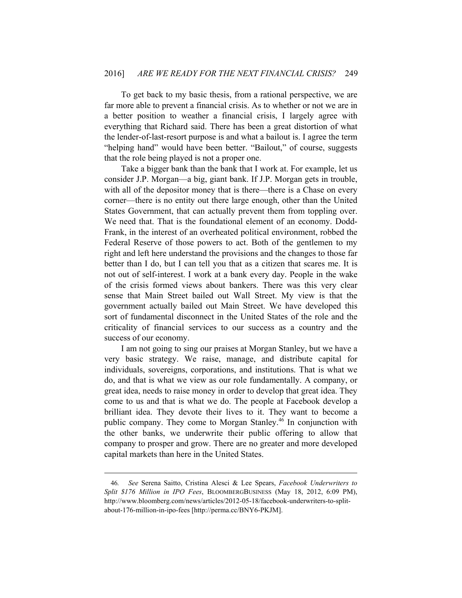To get back to my basic thesis, from a rational perspective, we are far more able to prevent a financial crisis. As to whether or not we are in a better position to weather a financial crisis, I largely agree with everything that Richard said. There has been a great distortion of what the lender-of-last-resort purpose is and what a bailout is. I agree the term "helping hand" would have been better. "Bailout," of course, suggests that the role being played is not a proper one.

Take a bigger bank than the bank that I work at. For example, let us consider J.P. Morgan—a big, giant bank. If J.P. Morgan gets in trouble, with all of the depositor money that is there—there is a Chase on every corner—there is no entity out there large enough, other than the United States Government, that can actually prevent them from toppling over. We need that. That is the foundational element of an economy. Dodd-Frank, in the interest of an overheated political environment, robbed the Federal Reserve of those powers to act. Both of the gentlemen to my right and left here understand the provisions and the changes to those far better than I do, but I can tell you that as a citizen that scares me. It is not out of self-interest. I work at a bank every day. People in the wake of the crisis formed views about bankers. There was this very clear sense that Main Street bailed out Wall Street. My view is that the government actually bailed out Main Street. We have developed this sort of fundamental disconnect in the United States of the role and the criticality of financial services to our success as a country and the success of our economy.

I am not going to sing our praises at Morgan Stanley, but we have a very basic strategy. We raise, manage, and distribute capital for individuals, sovereigns, corporations, and institutions. That is what we do, and that is what we view as our role fundamentally. A company, or great idea, needs to raise money in order to develop that great idea. They come to us and that is what we do. The people at Facebook develop a brilliant idea. They devote their lives to it. They want to become a public company. They come to Morgan Stanley.46 In conjunction with the other banks, we underwrite their public offering to allow that company to prosper and grow. There are no greater and more developed capital markets than here in the United States.

<sup>46</sup>*. See* Serena Saitto, Cristina Alesci & Lee Spears, *Facebook Underwriters to Split \$176 Million in IPO Fees*, BLOOMBERGBUSINESS (May 18, 2012, 6:09 PM), http://www.bloomberg.com/news/articles/2012-05-18/facebook-underwriters-to-splitabout-176-million-in-ipo-fees [http://perma.cc/BNY6-PKJM].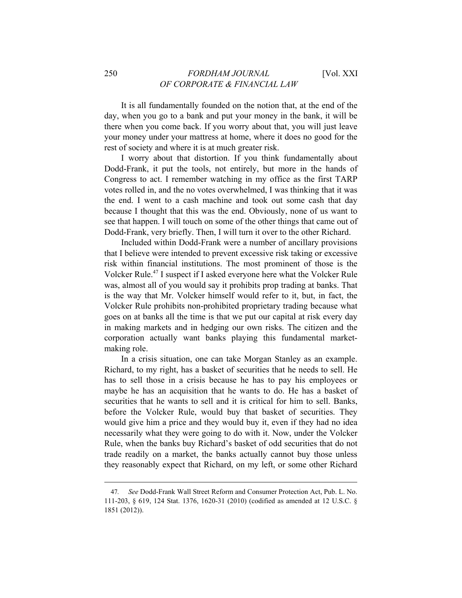It is all fundamentally founded on the notion that, at the end of the day, when you go to a bank and put your money in the bank, it will be there when you come back. If you worry about that, you will just leave your money under your mattress at home, where it does no good for the rest of society and where it is at much greater risk.

I worry about that distortion. If you think fundamentally about Dodd-Frank, it put the tools, not entirely, but more in the hands of Congress to act. I remember watching in my office as the first TARP votes rolled in, and the no votes overwhelmed, I was thinking that it was the end. I went to a cash machine and took out some cash that day because I thought that this was the end. Obviously, none of us want to see that happen. I will touch on some of the other things that came out of Dodd-Frank, very briefly. Then, I will turn it over to the other Richard.

Included within Dodd-Frank were a number of ancillary provisions that I believe were intended to prevent excessive risk taking or excessive risk within financial institutions. The most prominent of those is the Volcker Rule.47 I suspect if I asked everyone here what the Volcker Rule was, almost all of you would say it prohibits prop trading at banks. That is the way that Mr. Volcker himself would refer to it, but, in fact, the Volcker Rule prohibits non-prohibited proprietary trading because what goes on at banks all the time is that we put our capital at risk every day in making markets and in hedging our own risks. The citizen and the corporation actually want banks playing this fundamental marketmaking role.

In a crisis situation, one can take Morgan Stanley as an example. Richard, to my right, has a basket of securities that he needs to sell. He has to sell those in a crisis because he has to pay his employees or maybe he has an acquisition that he wants to do. He has a basket of securities that he wants to sell and it is critical for him to sell. Banks, before the Volcker Rule, would buy that basket of securities. They would give him a price and they would buy it, even if they had no idea necessarily what they were going to do with it. Now, under the Volcker Rule, when the banks buy Richard's basket of odd securities that do not trade readily on a market, the banks actually cannot buy those unless they reasonably expect that Richard, on my left, or some other Richard

<sup>47</sup>*. See* Dodd-Frank Wall Street Reform and Consumer Protection Act, Pub. L. No. 111-203, § 619, 124 Stat. 1376, 1620-31 (2010) (codified as amended at 12 U.S.C. § 1851 (2012)).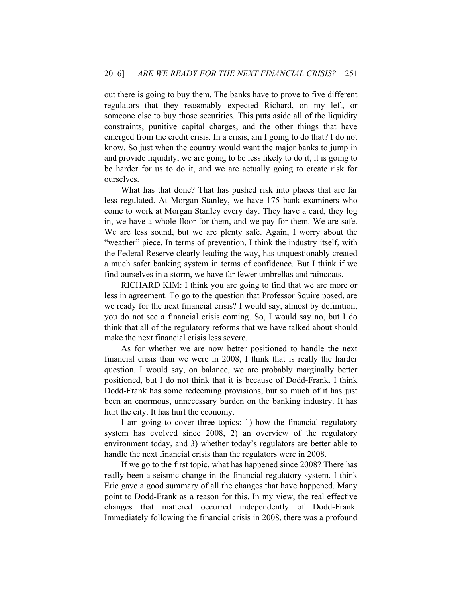out there is going to buy them. The banks have to prove to five different regulators that they reasonably expected Richard, on my left, or someone else to buy those securities. This puts aside all of the liquidity constraints, punitive capital charges, and the other things that have emerged from the credit crisis. In a crisis, am I going to do that? I do not know. So just when the country would want the major banks to jump in and provide liquidity, we are going to be less likely to do it, it is going to be harder for us to do it, and we are actually going to create risk for ourselves.

What has that done? That has pushed risk into places that are far less regulated. At Morgan Stanley, we have 175 bank examiners who come to work at Morgan Stanley every day. They have a card, they log in, we have a whole floor for them, and we pay for them. We are safe. We are less sound, but we are plenty safe. Again, I worry about the "weather" piece. In terms of prevention, I think the industry itself, with the Federal Reserve clearly leading the way, has unquestionably created a much safer banking system in terms of confidence. But I think if we find ourselves in a storm, we have far fewer umbrellas and raincoats.

RICHARD KIM: I think you are going to find that we are more or less in agreement. To go to the question that Professor Squire posed, are we ready for the next financial crisis? I would say, almost by definition, you do not see a financial crisis coming. So, I would say no, but I do think that all of the regulatory reforms that we have talked about should make the next financial crisis less severe.

As for whether we are now better positioned to handle the next financial crisis than we were in 2008, I think that is really the harder question. I would say, on balance, we are probably marginally better positioned, but I do not think that it is because of Dodd-Frank. I think Dodd-Frank has some redeeming provisions, but so much of it has just been an enormous, unnecessary burden on the banking industry. It has hurt the city. It has hurt the economy.

I am going to cover three topics: 1) how the financial regulatory system has evolved since 2008, 2) an overview of the regulatory environment today, and 3) whether today's regulators are better able to handle the next financial crisis than the regulators were in 2008.

If we go to the first topic, what has happened since 2008? There has really been a seismic change in the financial regulatory system. I think Eric gave a good summary of all the changes that have happened. Many point to Dodd-Frank as a reason for this. In my view, the real effective changes that mattered occurred independently of Dodd-Frank. Immediately following the financial crisis in 2008, there was a profound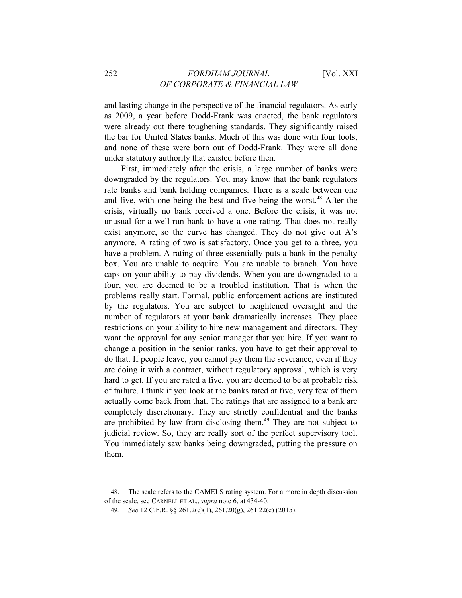and lasting change in the perspective of the financial regulators. As early as 2009, a year before Dodd-Frank was enacted, the bank regulators were already out there toughening standards. They significantly raised the bar for United States banks. Much of this was done with four tools, and none of these were born out of Dodd-Frank. They were all done under statutory authority that existed before then.

First, immediately after the crisis, a large number of banks were downgraded by the regulators. You may know that the bank regulators rate banks and bank holding companies. There is a scale between one and five, with one being the best and five being the worst.<sup>48</sup> After the crisis, virtually no bank received a one. Before the crisis, it was not unusual for a well-run bank to have a one rating. That does not really exist anymore, so the curve has changed. They do not give out A's anymore. A rating of two is satisfactory. Once you get to a three, you have a problem. A rating of three essentially puts a bank in the penalty box. You are unable to acquire. You are unable to branch. You have caps on your ability to pay dividends. When you are downgraded to a four, you are deemed to be a troubled institution. That is when the problems really start. Formal, public enforcement actions are instituted by the regulators. You are subject to heightened oversight and the number of regulators at your bank dramatically increases. They place restrictions on your ability to hire new management and directors. They want the approval for any senior manager that you hire. If you want to change a position in the senior ranks, you have to get their approval to do that. If people leave, you cannot pay them the severance, even if they are doing it with a contract, without regulatory approval, which is very hard to get. If you are rated a five, you are deemed to be at probable risk of failure. I think if you look at the banks rated at five, very few of them actually come back from that. The ratings that are assigned to a bank are completely discretionary. They are strictly confidential and the banks are prohibited by law from disclosing them.<sup>49</sup> They are not subject to judicial review. So, they are really sort of the perfect supervisory tool. You immediately saw banks being downgraded, putting the pressure on them.

<sup>48.</sup> The scale refers to the CAMELS rating system. For a more in depth discussion of the scale, see CARNELL ET AL., *supra* note 6, at 434-40.

<sup>49</sup>*. See* 12 C.F.R. §§ 261.2(c)(1), 261.20(g), 261.22(e) (2015).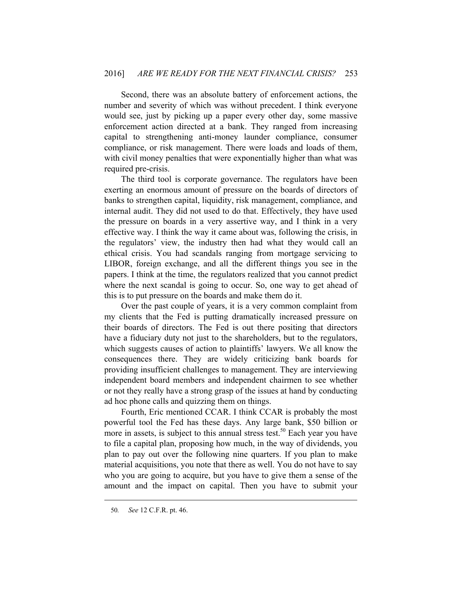Second, there was an absolute battery of enforcement actions, the number and severity of which was without precedent. I think everyone would see, just by picking up a paper every other day, some massive enforcement action directed at a bank. They ranged from increasing capital to strengthening anti-money launder compliance, consumer compliance, or risk management. There were loads and loads of them, with civil money penalties that were exponentially higher than what was required pre-crisis.

The third tool is corporate governance. The regulators have been exerting an enormous amount of pressure on the boards of directors of banks to strengthen capital, liquidity, risk management, compliance, and internal audit. They did not used to do that. Effectively, they have used the pressure on boards in a very assertive way, and I think in a very effective way. I think the way it came about was, following the crisis, in the regulators' view, the industry then had what they would call an ethical crisis. You had scandals ranging from mortgage servicing to LIBOR, foreign exchange, and all the different things you see in the papers. I think at the time, the regulators realized that you cannot predict where the next scandal is going to occur. So, one way to get ahead of this is to put pressure on the boards and make them do it.

Over the past couple of years, it is a very common complaint from my clients that the Fed is putting dramatically increased pressure on their boards of directors. The Fed is out there positing that directors have a fiduciary duty not just to the shareholders, but to the regulators, which suggests causes of action to plaintiffs' lawyers. We all know the consequences there. They are widely criticizing bank boards for providing insufficient challenges to management. They are interviewing independent board members and independent chairmen to see whether or not they really have a strong grasp of the issues at hand by conducting ad hoc phone calls and quizzing them on things.

Fourth, Eric mentioned CCAR. I think CCAR is probably the most powerful tool the Fed has these days. Any large bank, \$50 billion or more in assets, is subject to this annual stress test.<sup>50</sup> Each year you have to file a capital plan, proposing how much, in the way of dividends, you plan to pay out over the following nine quarters. If you plan to make material acquisitions, you note that there as well. You do not have to say who you are going to acquire, but you have to give them a sense of the amount and the impact on capital. Then you have to submit your

<sup>50</sup>*. See* 12 C.F.R. pt. 46.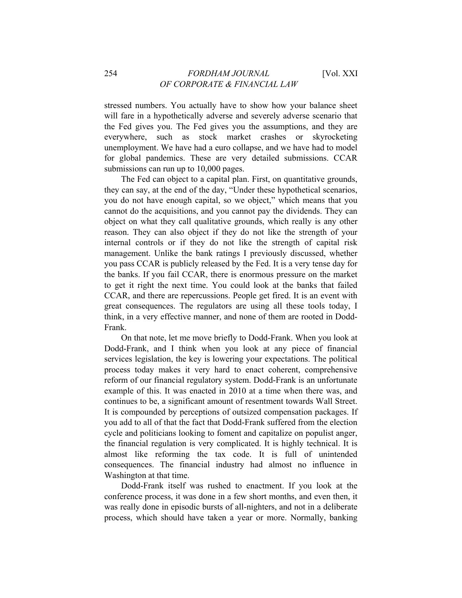stressed numbers. You actually have to show how your balance sheet will fare in a hypothetically adverse and severely adverse scenario that the Fed gives you. The Fed gives you the assumptions, and they are everywhere, such as stock market crashes or skyrocketing unemployment. We have had a euro collapse, and we have had to model for global pandemics. These are very detailed submissions. CCAR submissions can run up to 10,000 pages.

The Fed can object to a capital plan. First, on quantitative grounds, they can say, at the end of the day, "Under these hypothetical scenarios, you do not have enough capital, so we object," which means that you cannot do the acquisitions, and you cannot pay the dividends. They can object on what they call qualitative grounds, which really is any other reason. They can also object if they do not like the strength of your internal controls or if they do not like the strength of capital risk management. Unlike the bank ratings I previously discussed, whether you pass CCAR is publicly released by the Fed. It is a very tense day for the banks. If you fail CCAR, there is enormous pressure on the market to get it right the next time. You could look at the banks that failed CCAR, and there are repercussions. People get fired. It is an event with great consequences. The regulators are using all these tools today, I think, in a very effective manner, and none of them are rooted in Dodd-Frank.

On that note, let me move briefly to Dodd-Frank. When you look at Dodd-Frank, and I think when you look at any piece of financial services legislation, the key is lowering your expectations. The political process today makes it very hard to enact coherent, comprehensive reform of our financial regulatory system. Dodd-Frank is an unfortunate example of this. It was enacted in 2010 at a time when there was, and continues to be, a significant amount of resentment towards Wall Street. It is compounded by perceptions of outsized compensation packages. If you add to all of that the fact that Dodd-Frank suffered from the election cycle and politicians looking to foment and capitalize on populist anger, the financial regulation is very complicated. It is highly technical. It is almost like reforming the tax code. It is full of unintended consequences. The financial industry had almost no influence in Washington at that time.

Dodd-Frank itself was rushed to enactment. If you look at the conference process, it was done in a few short months, and even then, it was really done in episodic bursts of all-nighters, and not in a deliberate process, which should have taken a year or more. Normally, banking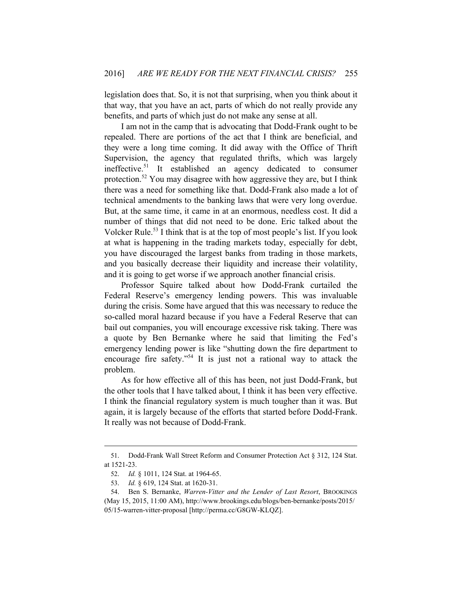legislation does that. So, it is not that surprising, when you think about it that way, that you have an act, parts of which do not really provide any benefits, and parts of which just do not make any sense at all.

I am not in the camp that is advocating that Dodd-Frank ought to be repealed. There are portions of the act that I think are beneficial, and they were a long time coming. It did away with the Office of Thrift Supervision, the agency that regulated thrifts, which was largely ineffective.51 It established an agency dedicated to consumer protection.52 You may disagree with how aggressive they are, but I think there was a need for something like that. Dodd-Frank also made a lot of technical amendments to the banking laws that were very long overdue. But, at the same time, it came in at an enormous, needless cost. It did a number of things that did not need to be done. Eric talked about the Volcker Rule.<sup>53</sup> I think that is at the top of most people's list. If you look at what is happening in the trading markets today, especially for debt, you have discouraged the largest banks from trading in those markets, and you basically decrease their liquidity and increase their volatility, and it is going to get worse if we approach another financial crisis.

Professor Squire talked about how Dodd-Frank curtailed the Federal Reserve's emergency lending powers. This was invaluable during the crisis. Some have argued that this was necessary to reduce the so-called moral hazard because if you have a Federal Reserve that can bail out companies, you will encourage excessive risk taking. There was a quote by Ben Bernanke where he said that limiting the Fed's emergency lending power is like "shutting down the fire department to encourage fire safety."54 It is just not a rational way to attack the problem.

As for how effective all of this has been, not just Dodd-Frank, but the other tools that I have talked about, I think it has been very effective. I think the financial regulatory system is much tougher than it was. But again, it is largely because of the efforts that started before Dodd-Frank. It really was not because of Dodd-Frank.

<sup>51.</sup> Dodd-Frank Wall Street Reform and Consumer Protection Act § 312, 124 Stat. at 1521-23.

<sup>52.</sup> *Id.* § 1011, 124 Stat. at 1964-65.

<sup>53.</sup> *Id.* § 619, 124 Stat. at 1620-31.

<sup>54.</sup> Ben S. Bernanke, *Warren-Vitter and the Lender of Last Resort*, BROOKINGS (May 15, 2015, 11:00 AM), http://www.brookings.edu/blogs/ben-bernanke/posts/2015/ 05/15-warren-vitter-proposal [http://perma.cc/G8GW-KLQZ].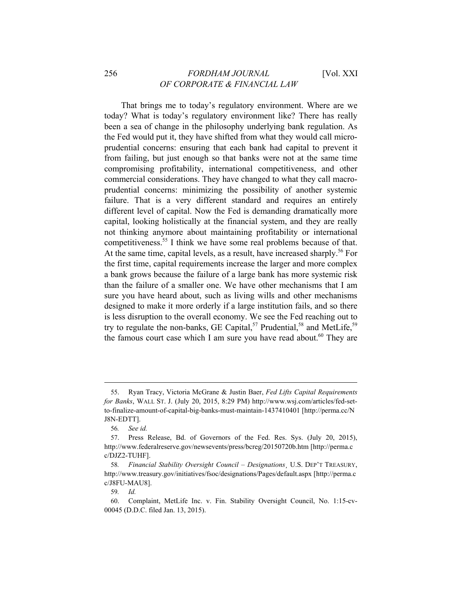That brings me to today's regulatory environment. Where are we today? What is today's regulatory environment like? There has really been a sea of change in the philosophy underlying bank regulation. As the Fed would put it, they have shifted from what they would call microprudential concerns: ensuring that each bank had capital to prevent it from failing, but just enough so that banks were not at the same time compromising profitability, international competitiveness, and other commercial considerations. They have changed to what they call macroprudential concerns: minimizing the possibility of another systemic failure. That is a very different standard and requires an entirely different level of capital. Now the Fed is demanding dramatically more capital, looking holistically at the financial system, and they are really not thinking anymore about maintaining profitability or international competitiveness.55 I think we have some real problems because of that. At the same time, capital levels, as a result, have increased sharply.<sup>56</sup> For the first time, capital requirements increase the larger and more complex a bank grows because the failure of a large bank has more systemic risk than the failure of a smaller one. We have other mechanisms that I am sure you have heard about, such as living wills and other mechanisms designed to make it more orderly if a large institution fails, and so there is less disruption to the overall economy. We see the Fed reaching out to try to regulate the non-banks, GE Capital,<sup>57</sup> Prudential,<sup>58</sup> and MetLife,<sup>59</sup> the famous court case which I am sure you have read about.<sup>60</sup> They are

<sup>55.</sup> Ryan Tracy, Victoria McGrane & Justin Baer, *Fed Lifts Capital Requirements for Banks*, WALL ST. J. (July 20, 2015, 8:29 PM) http://www.wsj.com/articles/fed-setto-finalize-amount-of-capital-big-banks-must-maintain-1437410401 [http://perma.cc/N J8N-EDTT].

<sup>56</sup>*. See id.* 

<sup>57.</sup> Press Release, Bd. of Governors of the Fed. Res. Sys. (July 20, 2015), http://www.federalreserve.gov/newsevents/press/bcreg/20150720b.htm [http://perma.c c/DJZ2-TUHF].

<sup>58</sup>*. Financial Stability Oversight Council – Designations*¸ U.S. DEP'T TREASURY, http://www.treasury.gov/initiatives/fsoc/designations/Pages/default.aspx [http://perma.c c/J8FU-MAU8].

<sup>59</sup>*. Id.*

<sup>60.</sup> Complaint, MetLife Inc. v. Fin. Stability Oversight Council, No. 1:15-cv-00045 (D.D.C. filed Jan. 13, 2015).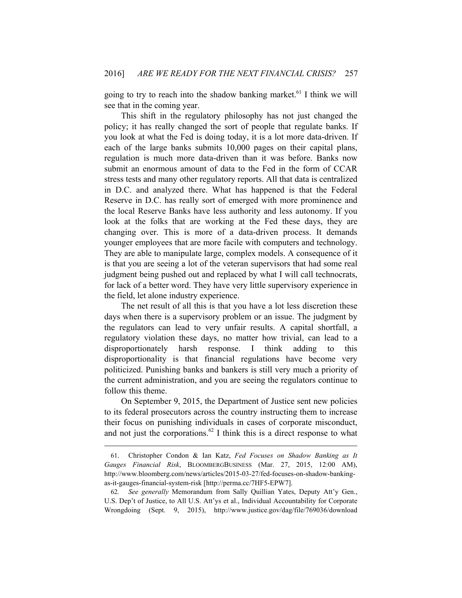going to try to reach into the shadow banking market.<sup>61</sup> I think we will see that in the coming year.

This shift in the regulatory philosophy has not just changed the policy; it has really changed the sort of people that regulate banks. If you look at what the Fed is doing today, it is a lot more data-driven. If each of the large banks submits 10,000 pages on their capital plans, regulation is much more data-driven than it was before. Banks now submit an enormous amount of data to the Fed in the form of CCAR stress tests and many other regulatory reports. All that data is centralized in D.C. and analyzed there. What has happened is that the Federal Reserve in D.C. has really sort of emerged with more prominence and the local Reserve Banks have less authority and less autonomy. If you look at the folks that are working at the Fed these days, they are changing over. This is more of a data-driven process. It demands younger employees that are more facile with computers and technology. They are able to manipulate large, complex models. A consequence of it is that you are seeing a lot of the veteran supervisors that had some real judgment being pushed out and replaced by what I will call technocrats, for lack of a better word. They have very little supervisory experience in the field, let alone industry experience.

The net result of all this is that you have a lot less discretion these days when there is a supervisory problem or an issue. The judgment by the regulators can lead to very unfair results. A capital shortfall, a regulatory violation these days, no matter how trivial, can lead to a disproportionately harsh response. I think adding to this disproportionality is that financial regulations have become very politicized. Punishing banks and bankers is still very much a priority of the current administration, and you are seeing the regulators continue to follow this theme.

On September 9, 2015, the Department of Justice sent new policies to its federal prosecutors across the country instructing them to increase their focus on punishing individuals in cases of corporate misconduct, and not just the corporations.<sup>62</sup> I think this is a direct response to what

<sup>61.</sup> Christopher Condon & Ian Katz, *Fed Focuses on Shadow Banking as It Gauges Financial Risk*, BLOOMBERGBUSINESS (Mar. 27, 2015, 12:00 AM), http://www.bloomberg.com/news/articles/2015-03-27/fed-focuses-on-shadow-bankingas-it-gauges-financial-system-risk [http://perma.cc/7HF5-EPW7].

<sup>62</sup>*. See generally* Memorandum from Sally Quillian Yates, Deputy Att'y Gen., U.S. Dep't of Justice, to All U.S. Att'ys et al., Individual Accountability for Corporate Wrongdoing (Sept. 9, 2015), http://www.justice.gov/dag/file/769036/download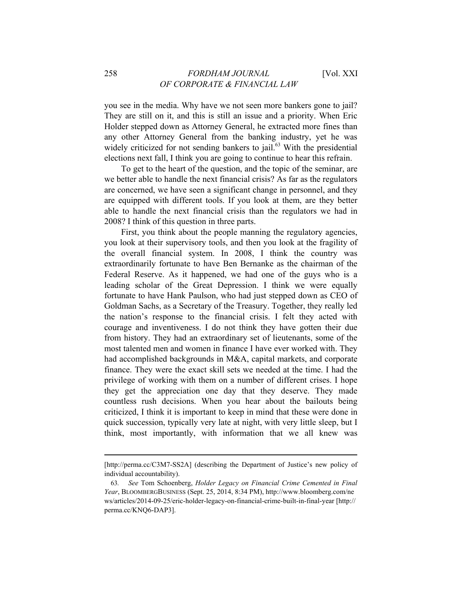you see in the media. Why have we not seen more bankers gone to jail? They are still on it, and this is still an issue and a priority. When Eric Holder stepped down as Attorney General, he extracted more fines than any other Attorney General from the banking industry, yet he was widely criticized for not sending bankers to jail. $63$  With the presidential elections next fall, I think you are going to continue to hear this refrain.

To get to the heart of the question, and the topic of the seminar, are we better able to handle the next financial crisis? As far as the regulators are concerned, we have seen a significant change in personnel, and they are equipped with different tools. If you look at them, are they better able to handle the next financial crisis than the regulators we had in 2008? I think of this question in three parts.

First, you think about the people manning the regulatory agencies, you look at their supervisory tools, and then you look at the fragility of the overall financial system. In 2008, I think the country was extraordinarily fortunate to have Ben Bernanke as the chairman of the Federal Reserve. As it happened, we had one of the guys who is a leading scholar of the Great Depression. I think we were equally fortunate to have Hank Paulson, who had just stepped down as CEO of Goldman Sachs, as a Secretary of the Treasury. Together, they really led the nation's response to the financial crisis. I felt they acted with courage and inventiveness. I do not think they have gotten their due from history. They had an extraordinary set of lieutenants, some of the most talented men and women in finance I have ever worked with. They had accomplished backgrounds in M&A, capital markets, and corporate finance. They were the exact skill sets we needed at the time. I had the privilege of working with them on a number of different crises. I hope they get the appreciation one day that they deserve. They made countless rush decisions. When you hear about the bailouts being criticized, I think it is important to keep in mind that these were done in quick succession, typically very late at night, with very little sleep, but I think, most importantly, with information that we all knew was

<sup>[</sup>http://perma.cc/C3M7-SS2A] (describing the Department of Justice's new policy of individual accountability).

<sup>63</sup>*. See* Tom Schoenberg, *Holder Legacy on Financial Crime Cemented in Final Year*, BLOOMBERGBUSINESS (Sept. 25, 2014, 8:34 PM), http://www.bloomberg.com/ne ws/articles/2014-09-25/eric-holder-legacy-on-financial-crime-built-in-final-year [http:// perma.cc/KNQ6-DAP3].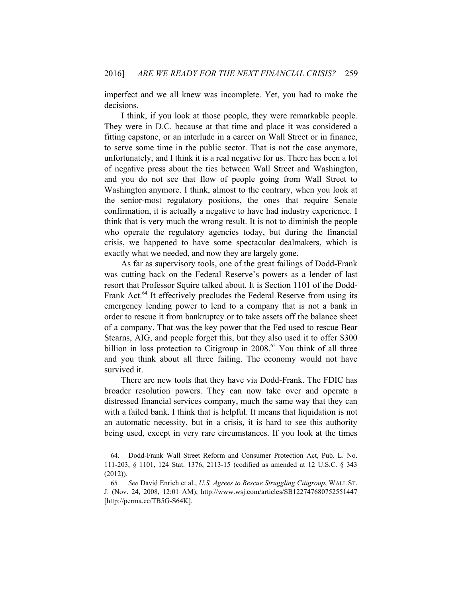imperfect and we all knew was incomplete. Yet, you had to make the decisions.

I think, if you look at those people, they were remarkable people. They were in D.C. because at that time and place it was considered a fitting capstone, or an interlude in a career on Wall Street or in finance, to serve some time in the public sector. That is not the case anymore, unfortunately, and I think it is a real negative for us. There has been a lot of negative press about the ties between Wall Street and Washington, and you do not see that flow of people going from Wall Street to Washington anymore. I think, almost to the contrary, when you look at the senior-most regulatory positions, the ones that require Senate confirmation, it is actually a negative to have had industry experience. I think that is very much the wrong result. It is not to diminish the people who operate the regulatory agencies today, but during the financial crisis, we happened to have some spectacular dealmakers, which is exactly what we needed, and now they are largely gone.

As far as supervisory tools, one of the great failings of Dodd-Frank was cutting back on the Federal Reserve's powers as a lender of last resort that Professor Squire talked about. It is Section 1101 of the Dodd-Frank Act.<sup>64</sup> It effectively precludes the Federal Reserve from using its emergency lending power to lend to a company that is not a bank in order to rescue it from bankruptcy or to take assets off the balance sheet of a company. That was the key power that the Fed used to rescue Bear Stearns, AIG, and people forget this, but they also used it to offer \$300 billion in loss protection to Citigroup in 2008.<sup>65</sup> You think of all three and you think about all three failing. The economy would not have survived it.

There are new tools that they have via Dodd-Frank. The FDIC has broader resolution powers. They can now take over and operate a distressed financial services company, much the same way that they can with a failed bank. I think that is helpful. It means that liquidation is not an automatic necessity, but in a crisis, it is hard to see this authority being used, except in very rare circumstances. If you look at the times

<sup>64.</sup> Dodd-Frank Wall Street Reform and Consumer Protection Act, Pub. L. No. 111-203, § 1101, 124 Stat. 1376, 2113-15 (codified as amended at 12 U.S.C. § 343 (2012)).

<sup>65</sup>*. See* David Enrich et al., *U.S. Agrees to Rescue Struggling Citigroup*, WALL ST. J. (Nov. 24, 2008, 12:01 AM), http://www.wsj.com/articles/SB122747680752551447 [http://perma.cc/TB5G-S64K].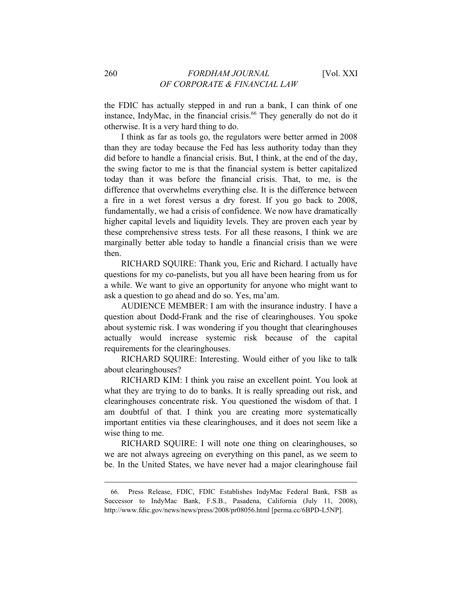the FDIC has actually stepped in and run a bank, I can think of one instance, IndyMac, in the financial crisis.<sup>66</sup> They generally do not do it otherwise. It is a very hard thing to do.

I think as far as tools go, the regulators were better armed in 2008 than they are today because the Fed has less authority today than they did before to handle a financial crisis. But, I think, at the end of the day, the swing factor to me is that the financial system is better capitalized today than it was before the financial crisis. That, to me, is the difference that overwhelms everything else. It is the difference between a fire in a wet forest versus a dry forest. If you go back to 2008, fundamentally, we had a crisis of confidence. We now have dramatically higher capital levels and liquidity levels. They are proven each year by these comprehensive stress tests. For all these reasons, I think we are marginally better able today to handle a financial crisis than we were then.

RICHARD SQUIRE: Thank you, Eric and Richard. I actually have questions for my co-panelists, but you all have been hearing from us for a while. We want to give an opportunity for anyone who might want to ask a question to go ahead and do so. Yes, ma'am.

AUDIENCE MEMBER: I am with the insurance industry. I have a question about Dodd-Frank and the rise of clearinghouses. You spoke about systemic risk. I was wondering if you thought that clearinghouses actually would increase systemic risk because of the capital requirements for the clearinghouses.

RICHARD SQUIRE: Interesting. Would either of you like to talk about clearinghouses?

RICHARD KIM: I think you raise an excellent point. You look at what they are trying to do to banks. It is really spreading out risk, and clearinghouses concentrate risk. You questioned the wisdom of that. I am doubtful of that. I think you are creating more systematically important entities via these clearinghouses, and it does not seem like a wise thing to me.

RICHARD SQUIRE: I will note one thing on clearinghouses, so we are not always agreeing on everything on this panel, as we seem to be. In the United States, we have never had a major clearinghouse fail

<sup>66.</sup> Press Release, FDIC, FDIC Establishes IndyMac Federal Bank, FSB as Successor to IndyMac Bank, F.S.B., Pasadena, California (July 11, 2008), http://www.fdic.gov/news/news/press/2008/pr08056.html [perma.cc/6BPD-L5NP].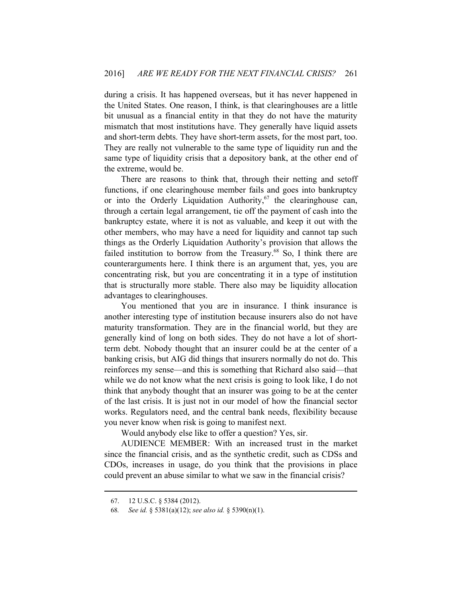during a crisis. It has happened overseas, but it has never happened in the United States. One reason, I think, is that clearinghouses are a little bit unusual as a financial entity in that they do not have the maturity mismatch that most institutions have. They generally have liquid assets and short-term debts. They have short-term assets, for the most part, too. They are really not vulnerable to the same type of liquidity run and the same type of liquidity crisis that a depository bank, at the other end of the extreme, would be.

There are reasons to think that, through their netting and setoff functions, if one clearinghouse member fails and goes into bankruptcy or into the Orderly Liquidation Authority,  $67$  the clearinghouse can, through a certain legal arrangement, tie off the payment of cash into the bankruptcy estate, where it is not as valuable, and keep it out with the other members, who may have a need for liquidity and cannot tap such things as the Orderly Liquidation Authority's provision that allows the failed institution to borrow from the Treasury.<sup>68</sup> So, I think there are counterarguments here. I think there is an argument that, yes, you are concentrating risk, but you are concentrating it in a type of institution that is structurally more stable. There also may be liquidity allocation advantages to clearinghouses.

You mentioned that you are in insurance. I think insurance is another interesting type of institution because insurers also do not have maturity transformation. They are in the financial world, but they are generally kind of long on both sides. They do not have a lot of shortterm debt. Nobody thought that an insurer could be at the center of a banking crisis, but AIG did things that insurers normally do not do. This reinforces my sense—and this is something that Richard also said—that while we do not know what the next crisis is going to look like, I do not think that anybody thought that an insurer was going to be at the center of the last crisis. It is just not in our model of how the financial sector works. Regulators need, and the central bank needs, flexibility because you never know when risk is going to manifest next.

Would anybody else like to offer a question? Yes, sir.

AUDIENCE MEMBER: With an increased trust in the market since the financial crisis, and as the synthetic credit, such as CDSs and CDOs, increases in usage, do you think that the provisions in place could prevent an abuse similar to what we saw in the financial crisis?

<sup>67. 12</sup> U.S.C. § 5384 (2012).

<sup>68</sup>*. See id.* § 5381(a)(12); *see also id.* § 5390(n)(1).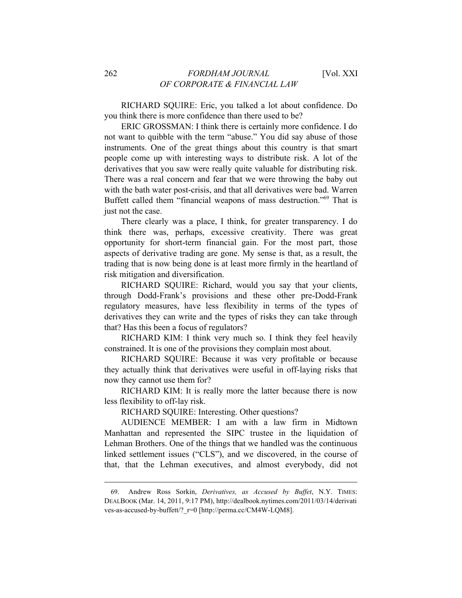RICHARD SQUIRE: Eric, you talked a lot about confidence. Do you think there is more confidence than there used to be?

ERIC GROSSMAN: I think there is certainly more confidence. I do not want to quibble with the term "abuse." You did say abuse of those instruments. One of the great things about this country is that smart people come up with interesting ways to distribute risk. A lot of the derivatives that you saw were really quite valuable for distributing risk. There was a real concern and fear that we were throwing the baby out with the bath water post-crisis, and that all derivatives were bad. Warren Buffett called them "financial weapons of mass destruction."69 That is just not the case.

There clearly was a place, I think, for greater transparency. I do think there was, perhaps, excessive creativity. There was great opportunity for short-term financial gain. For the most part, those aspects of derivative trading are gone. My sense is that, as a result, the trading that is now being done is at least more firmly in the heartland of risk mitigation and diversification.

RICHARD SQUIRE: Richard, would you say that your clients, through Dodd-Frank's provisions and these other pre-Dodd-Frank regulatory measures, have less flexibility in terms of the types of derivatives they can write and the types of risks they can take through that? Has this been a focus of regulators?

RICHARD KIM: I think very much so. I think they feel heavily constrained. It is one of the provisions they complain most about.

RICHARD SQUIRE: Because it was very profitable or because they actually think that derivatives were useful in off-laying risks that now they cannot use them for?

RICHARD KIM: It is really more the latter because there is now less flexibility to off-lay risk.

RICHARD SQUIRE: Interesting. Other questions?

AUDIENCE MEMBER: I am with a law firm in Midtown Manhattan and represented the SIPC trustee in the liquidation of Lehman Brothers. One of the things that we handled was the continuous linked settlement issues ("CLS"), and we discovered, in the course of that, that the Lehman executives, and almost everybody, did not

<sup>69.</sup> Andrew Ross Sorkin, *Derivatives, as Accused by Buffet*, N.Y. TIMES: DEALBOOK (Mar. 14, 2011, 9:17 PM), http://dealbook.nytimes.com/2011/03/14/derivati ves-as-accused-by-buffett/?\_r=0 [http://perma.cc/CM4W-LQM8].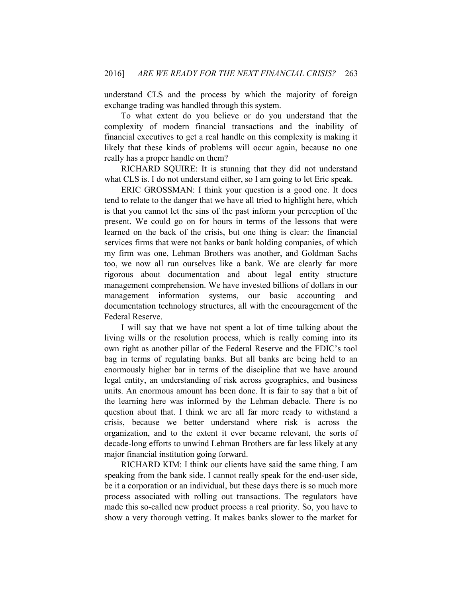understand CLS and the process by which the majority of foreign exchange trading was handled through this system.

To what extent do you believe or do you understand that the complexity of modern financial transactions and the inability of financial executives to get a real handle on this complexity is making it likely that these kinds of problems will occur again, because no one really has a proper handle on them?

RICHARD SQUIRE: It is stunning that they did not understand what CLS is. I do not understand either, so I am going to let Eric speak.

ERIC GROSSMAN: I think your question is a good one. It does tend to relate to the danger that we have all tried to highlight here, which is that you cannot let the sins of the past inform your perception of the present. We could go on for hours in terms of the lessons that were learned on the back of the crisis, but one thing is clear: the financial services firms that were not banks or bank holding companies, of which my firm was one, Lehman Brothers was another, and Goldman Sachs too, we now all run ourselves like a bank. We are clearly far more rigorous about documentation and about legal entity structure management comprehension. We have invested billions of dollars in our management information systems, our basic accounting and documentation technology structures, all with the encouragement of the Federal Reserve.

I will say that we have not spent a lot of time talking about the living wills or the resolution process, which is really coming into its own right as another pillar of the Federal Reserve and the FDIC's tool bag in terms of regulating banks. But all banks are being held to an enormously higher bar in terms of the discipline that we have around legal entity, an understanding of risk across geographies, and business units. An enormous amount has been done. It is fair to say that a bit of the learning here was informed by the Lehman debacle. There is no question about that. I think we are all far more ready to withstand a crisis, because we better understand where risk is across the organization, and to the extent it ever became relevant, the sorts of decade-long efforts to unwind Lehman Brothers are far less likely at any major financial institution going forward.

RICHARD KIM: I think our clients have said the same thing. I am speaking from the bank side. I cannot really speak for the end-user side, be it a corporation or an individual, but these days there is so much more process associated with rolling out transactions. The regulators have made this so-called new product process a real priority. So, you have to show a very thorough vetting. It makes banks slower to the market for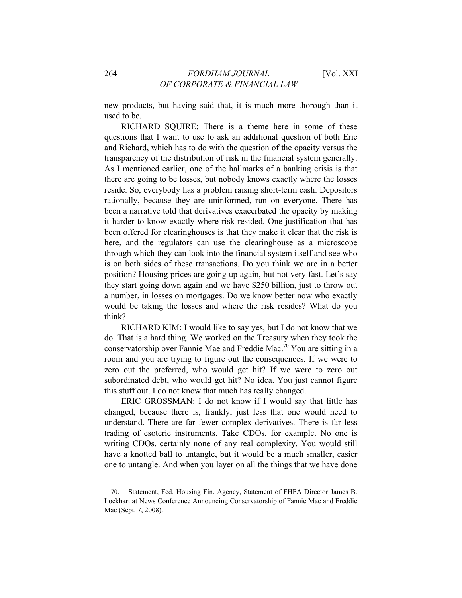new products, but having said that, it is much more thorough than it used to be.

RICHARD SQUIRE: There is a theme here in some of these questions that I want to use to ask an additional question of both Eric and Richard, which has to do with the question of the opacity versus the transparency of the distribution of risk in the financial system generally. As I mentioned earlier, one of the hallmarks of a banking crisis is that there are going to be losses, but nobody knows exactly where the losses reside. So, everybody has a problem raising short-term cash. Depositors rationally, because they are uninformed, run on everyone. There has been a narrative told that derivatives exacerbated the opacity by making it harder to know exactly where risk resided. One justification that has been offered for clearinghouses is that they make it clear that the risk is here, and the regulators can use the clearinghouse as a microscope through which they can look into the financial system itself and see who is on both sides of these transactions. Do you think we are in a better position? Housing prices are going up again, but not very fast. Let's say they start going down again and we have \$250 billion, just to throw out a number, in losses on mortgages. Do we know better now who exactly would be taking the losses and where the risk resides? What do you think?

RICHARD KIM: I would like to say yes, but I do not know that we do. That is a hard thing. We worked on the Treasury when they took the conservatorship over Fannie Mae and Freddie Mac.<sup>70</sup> You are sitting in a room and you are trying to figure out the consequences. If we were to zero out the preferred, who would get hit? If we were to zero out subordinated debt, who would get hit? No idea. You just cannot figure this stuff out. I do not know that much has really changed.

ERIC GROSSMAN: I do not know if I would say that little has changed, because there is, frankly, just less that one would need to understand. There are far fewer complex derivatives. There is far less trading of esoteric instruments. Take CDOs, for example. No one is writing CDOs, certainly none of any real complexity. You would still have a knotted ball to untangle, but it would be a much smaller, easier one to untangle. And when you layer on all the things that we have done

<sup>70.</sup> Statement, Fed. Housing Fin. Agency, Statement of FHFA Director James B. Lockhart at News Conference Announcing Conservatorship of Fannie Mae and Freddie Mac (Sept. 7, 2008).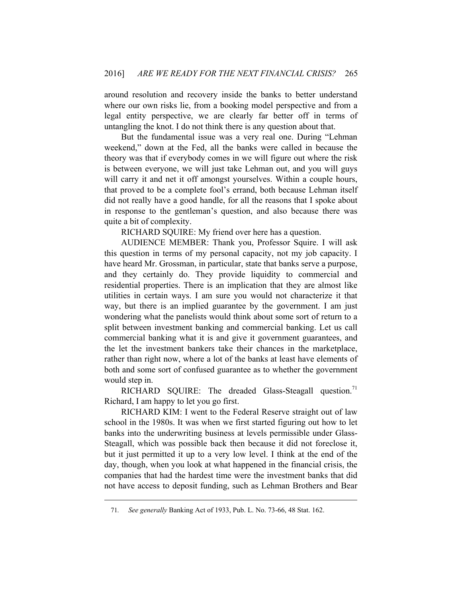around resolution and recovery inside the banks to better understand where our own risks lie, from a booking model perspective and from a legal entity perspective, we are clearly far better off in terms of untangling the knot. I do not think there is any question about that.

But the fundamental issue was a very real one. During "Lehman weekend," down at the Fed, all the banks were called in because the theory was that if everybody comes in we will figure out where the risk is between everyone, we will just take Lehman out, and you will guys will carry it and net it off amongst yourselves. Within a couple hours, that proved to be a complete fool's errand, both because Lehman itself did not really have a good handle, for all the reasons that I spoke about in response to the gentleman's question, and also because there was quite a bit of complexity.

RICHARD SQUIRE: My friend over here has a question.

AUDIENCE MEMBER: Thank you, Professor Squire. I will ask this question in terms of my personal capacity, not my job capacity. I have heard Mr. Grossman, in particular, state that banks serve a purpose, and they certainly do. They provide liquidity to commercial and residential properties. There is an implication that they are almost like utilities in certain ways. I am sure you would not characterize it that way, but there is an implied guarantee by the government. I am just wondering what the panelists would think about some sort of return to a split between investment banking and commercial banking. Let us call commercial banking what it is and give it government guarantees, and the let the investment bankers take their chances in the marketplace, rather than right now, where a lot of the banks at least have elements of both and some sort of confused guarantee as to whether the government would step in.

RICHARD SQUIRE: The dreaded Glass-Steagall question.<sup>71</sup> Richard, I am happy to let you go first.

RICHARD KIM: I went to the Federal Reserve straight out of law school in the 1980s. It was when we first started figuring out how to let banks into the underwriting business at levels permissible under Glass-Steagall, which was possible back then because it did not foreclose it, but it just permitted it up to a very low level. I think at the end of the day, though, when you look at what happened in the financial crisis, the companies that had the hardest time were the investment banks that did not have access to deposit funding, such as Lehman Brothers and Bear

<sup>71</sup>*. See generally* Banking Act of 1933, Pub. L. No. 73-66, 48 Stat. 162.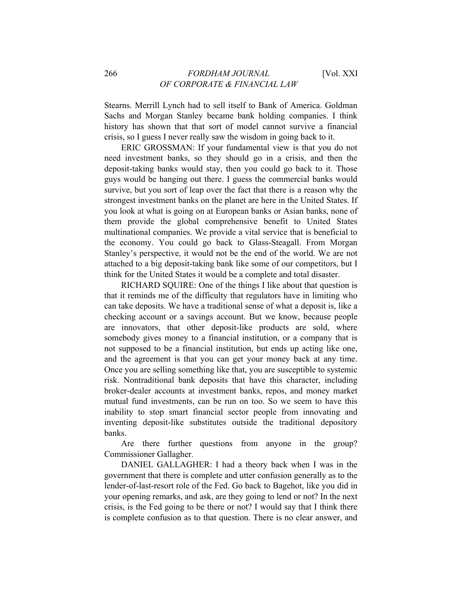Stearns. Merrill Lynch had to sell itself to Bank of America. Goldman Sachs and Morgan Stanley became bank holding companies. I think history has shown that that sort of model cannot survive a financial crisis, so I guess I never really saw the wisdom in going back to it.

ERIC GROSSMAN: If your fundamental view is that you do not need investment banks, so they should go in a crisis, and then the deposit-taking banks would stay, then you could go back to it. Those guys would be hanging out there. I guess the commercial banks would survive, but you sort of leap over the fact that there is a reason why the strongest investment banks on the planet are here in the United States. If you look at what is going on at European banks or Asian banks, none of them provide the global comprehensive benefit to United States multinational companies. We provide a vital service that is beneficial to the economy. You could go back to Glass-Steagall. From Morgan Stanley's perspective, it would not be the end of the world. We are not attached to a big deposit-taking bank like some of our competitors, but I think for the United States it would be a complete and total disaster.

RICHARD SQUIRE: One of the things I like about that question is that it reminds me of the difficulty that regulators have in limiting who can take deposits. We have a traditional sense of what a deposit is, like a checking account or a savings account. But we know, because people are innovators, that other deposit-like products are sold, where somebody gives money to a financial institution, or a company that is not supposed to be a financial institution, but ends up acting like one, and the agreement is that you can get your money back at any time. Once you are selling something like that, you are susceptible to systemic risk. Nontraditional bank deposits that have this character, including broker-dealer accounts at investment banks, repos, and money market mutual fund investments, can be run on too. So we seem to have this inability to stop smart financial sector people from innovating and inventing deposit-like substitutes outside the traditional depository banks.

Are there further questions from anyone in the group? Commissioner Gallagher.

DANIEL GALLAGHER: I had a theory back when I was in the government that there is complete and utter confusion generally as to the lender-of-last-resort role of the Fed. Go back to Bagehot, like you did in your opening remarks, and ask, are they going to lend or not? In the next crisis, is the Fed going to be there or not? I would say that I think there is complete confusion as to that question. There is no clear answer, and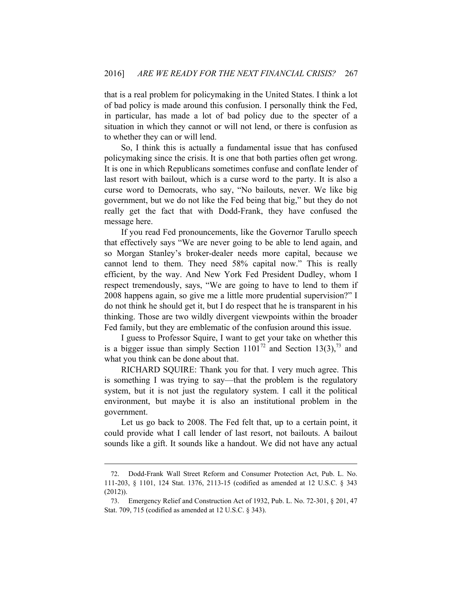that is a real problem for policymaking in the United States. I think a lot of bad policy is made around this confusion. I personally think the Fed, in particular, has made a lot of bad policy due to the specter of a situation in which they cannot or will not lend, or there is confusion as to whether they can or will lend.

So, I think this is actually a fundamental issue that has confused policymaking since the crisis. It is one that both parties often get wrong. It is one in which Republicans sometimes confuse and conflate lender of last resort with bailout, which is a curse word to the party. It is also a curse word to Democrats, who say, "No bailouts, never. We like big government, but we do not like the Fed being that big," but they do not really get the fact that with Dodd-Frank, they have confused the message here.

If you read Fed pronouncements, like the Governor Tarullo speech that effectively says "We are never going to be able to lend again, and so Morgan Stanley's broker-dealer needs more capital, because we cannot lend to them. They need 58% capital now." This is really efficient, by the way. And New York Fed President Dudley, whom I respect tremendously, says, "We are going to have to lend to them if 2008 happens again, so give me a little more prudential supervision?" I do not think he should get it, but I do respect that he is transparent in his thinking. Those are two wildly divergent viewpoints within the broader Fed family, but they are emblematic of the confusion around this issue.

I guess to Professor Squire, I want to get your take on whether this is a bigger issue than simply Section  $1101^{72}$  and Section 13(3),  $^{73}$  and what you think can be done about that.

RICHARD SQUIRE: Thank you for that. I very much agree. This is something I was trying to say—that the problem is the regulatory system, but it is not just the regulatory system. I call it the political environment, but maybe it is also an institutional problem in the government.

Let us go back to 2008. The Fed felt that, up to a certain point, it could provide what I call lender of last resort, not bailouts. A bailout sounds like a gift. It sounds like a handout. We did not have any actual

<sup>72.</sup> Dodd-Frank Wall Street Reform and Consumer Protection Act, Pub. L. No. 111-203, § 1101, 124 Stat. 1376, 2113-15 (codified as amended at 12 U.S.C. § 343 (2012)).

<sup>73.</sup> Emergency Relief and Construction Act of 1932, Pub. L. No. 72-301, § 201, 47 Stat. 709, 715 (codified as amended at 12 U.S.C. § 343).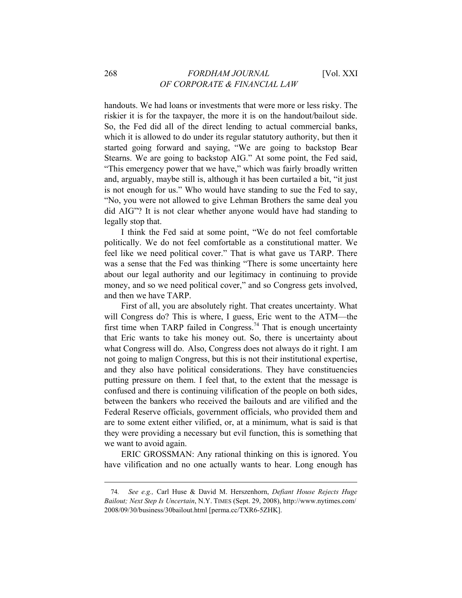handouts. We had loans or investments that were more or less risky. The riskier it is for the taxpayer, the more it is on the handout/bailout side. So, the Fed did all of the direct lending to actual commercial banks, which it is allowed to do under its regular statutory authority, but then it started going forward and saying, "We are going to backstop Bear Stearns. We are going to backstop AIG." At some point, the Fed said, "This emergency power that we have," which was fairly broadly written and, arguably, maybe still is, although it has been curtailed a bit, "it just is not enough for us." Who would have standing to sue the Fed to say, "No, you were not allowed to give Lehman Brothers the same deal you did AIG"? It is not clear whether anyone would have had standing to legally stop that.

I think the Fed said at some point, "We do not feel comfortable politically. We do not feel comfortable as a constitutional matter. We feel like we need political cover." That is what gave us TARP. There was a sense that the Fed was thinking "There is some uncertainty here about our legal authority and our legitimacy in continuing to provide money, and so we need political cover," and so Congress gets involved, and then we have TARP.

First of all, you are absolutely right. That creates uncertainty. What will Congress do? This is where, I guess, Eric went to the ATM—the first time when TARP failed in Congress.74 That is enough uncertainty that Eric wants to take his money out. So, there is uncertainty about what Congress will do. Also, Congress does not always do it right. I am not going to malign Congress, but this is not their institutional expertise, and they also have political considerations. They have constituencies putting pressure on them. I feel that, to the extent that the message is confused and there is continuing vilification of the people on both sides, between the bankers who received the bailouts and are vilified and the Federal Reserve officials, government officials, who provided them and are to some extent either vilified, or, at a minimum, what is said is that they were providing a necessary but evil function, this is something that we want to avoid again.

ERIC GROSSMAN: Any rational thinking on this is ignored. You have vilification and no one actually wants to hear. Long enough has

<sup>74</sup>*. See e.g.,* Carl Huse & David M. Herszenhorn, *Defiant House Rejects Huge Bailout; Next Step Is Uncertain*, N.Y. TIMES (Sept. 29, 2008), http://www.nytimes.com/ 2008/09/30/business/30bailout.html [perma.cc/TXR6-5ZHK].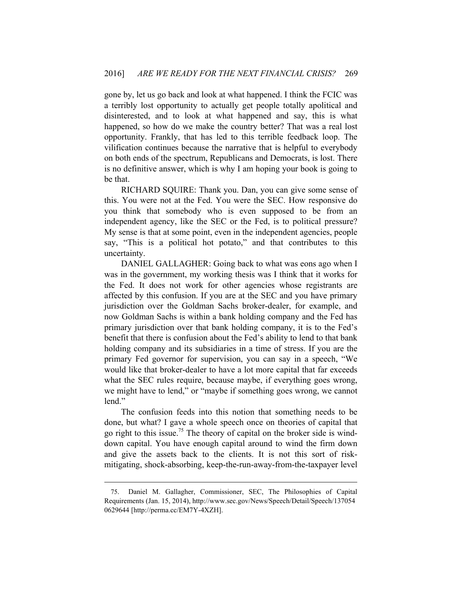gone by, let us go back and look at what happened. I think the FCIC was a terribly lost opportunity to actually get people totally apolitical and disinterested, and to look at what happened and say, this is what happened, so how do we make the country better? That was a real lost opportunity. Frankly, that has led to this terrible feedback loop. The vilification continues because the narrative that is helpful to everybody on both ends of the spectrum, Republicans and Democrats, is lost. There is no definitive answer, which is why I am hoping your book is going to be that.

RICHARD SQUIRE: Thank you. Dan, you can give some sense of this. You were not at the Fed. You were the SEC. How responsive do you think that somebody who is even supposed to be from an independent agency, like the SEC or the Fed, is to political pressure? My sense is that at some point, even in the independent agencies, people say, "This is a political hot potato," and that contributes to this uncertainty.

DANIEL GALLAGHER: Going back to what was eons ago when I was in the government, my working thesis was I think that it works for the Fed. It does not work for other agencies whose registrants are affected by this confusion. If you are at the SEC and you have primary jurisdiction over the Goldman Sachs broker-dealer, for example, and now Goldman Sachs is within a bank holding company and the Fed has primary jurisdiction over that bank holding company, it is to the Fed's benefit that there is confusion about the Fed's ability to lend to that bank holding company and its subsidiaries in a time of stress. If you are the primary Fed governor for supervision, you can say in a speech, "We would like that broker-dealer to have a lot more capital that far exceeds what the SEC rules require, because maybe, if everything goes wrong, we might have to lend," or "maybe if something goes wrong, we cannot lend."

The confusion feeds into this notion that something needs to be done, but what? I gave a whole speech once on theories of capital that go right to this issue.<sup>75</sup> The theory of capital on the broker side is winddown capital. You have enough capital around to wind the firm down and give the assets back to the clients. It is not this sort of riskmitigating, shock-absorbing, keep-the-run-away-from-the-taxpayer level

<sup>75.</sup> Daniel M. Gallagher, Commissioner, SEC, The Philosophies of Capital Requirements (Jan. 15, 2014), http://www.sec.gov/News/Speech/Detail/Speech/137054 0629644 [http://perma.cc/EM7Y-4XZH].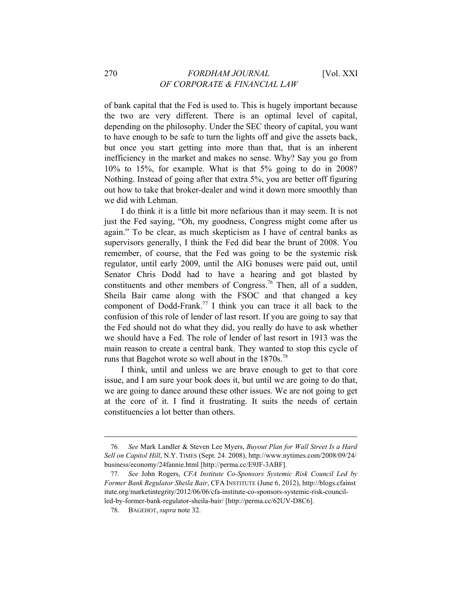of bank capital that the Fed is used to. This is hugely important because the two are very different. There is an optimal level of capital, depending on the philosophy. Under the SEC theory of capital, you want to have enough to be safe to turn the lights off and give the assets back, but once you start getting into more than that, that is an inherent inefficiency in the market and makes no sense. Why? Say you go from 10% to 15%, for example. What is that 5% going to do in 2008? Nothing. Instead of going after that extra 5%, you are better off figuring

out how to take that broker-dealer and wind it down more smoothly than

I do think it is a little bit more nefarious than it may seem. It is not just the Fed saying, "Oh, my goodness, Congress might come after us again." To be clear, as much skepticism as I have of central banks as supervisors generally, I think the Fed did bear the brunt of 2008. You remember, of course, that the Fed was going to be the systemic risk regulator, until early 2009, until the AIG bonuses were paid out, until Senator Chris Dodd had to have a hearing and got blasted by constituents and other members of Congress.<sup>76</sup> Then, all of a sudden, Sheila Bair came along with the FSOC and that changed a key component of Dodd-Frank.<sup>77</sup> I think you can trace it all back to the confusion of this role of lender of last resort. If you are going to say that the Fed should not do what they did, you really do have to ask whether we should have a Fed. The role of lender of last resort in 1913 was the main reason to create a central bank. They wanted to stop this cycle of runs that Bagehot wrote so well about in the 1870s.<sup>78</sup>

I think, until and unless we are brave enough to get to that core issue, and I am sure your book does it, but until we are going to do that, we are going to dance around these other issues. We are not going to get at the core of it. I find it frustrating. It suits the needs of certain constituencies a lot better than others.

 $\overline{a}$ 

we did with Lehman.

<sup>76</sup>*. See* Mark Landler & Steven Lee Myers, *Buyout Plan for Wall Street Is a Hard Sell on Capitol Hill*, N.Y. TIMES (Sept. 24. 2008), http://www.nytimes.com/2008/09/24/ business/economy/24fannie.html [http://perma.cc/E9JF-3ABF].

<sup>77</sup>*. See* John Rogers, *CFA Institute Co-Sponsors Systemic Risk Council Led by Former Bank Regulator Sheila Bair*, CFA INSTITUTE (June 6, 2012), http://blogs.cfainst itute.org/marketintegrity/2012/06/06/cfa-institute-co-sponsors-systemic-risk-councilled-by-former-bank-regulator-sheila-bair/ [http://perma.cc/62UV-D8C6].

<sup>78.</sup> BAGEHOT, *supra* note 32.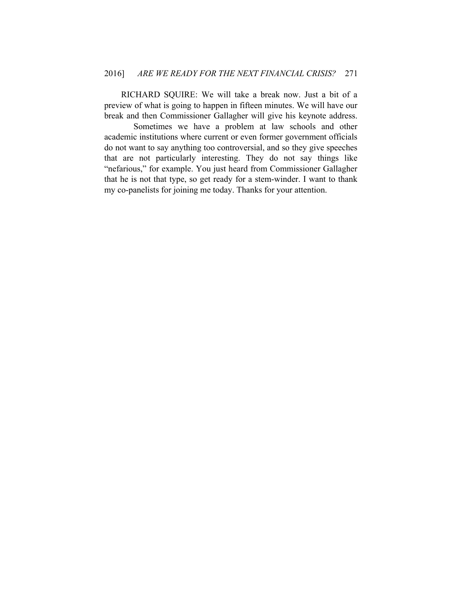RICHARD SQUIRE: We will take a break now. Just a bit of a preview of what is going to happen in fifteen minutes. We will have our break and then Commissioner Gallagher will give his keynote address.

 Sometimes we have a problem at law schools and other academic institutions where current or even former government officials do not want to say anything too controversial, and so they give speeches that are not particularly interesting. They do not say things like "nefarious," for example. You just heard from Commissioner Gallagher that he is not that type, so get ready for a stem-winder. I want to thank my co-panelists for joining me today. Thanks for your attention.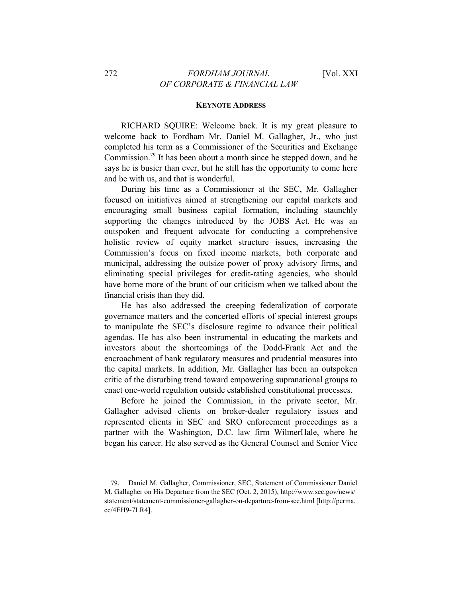#### **KEYNOTE ADDRESS**

RICHARD SQUIRE: Welcome back. It is my great pleasure to welcome back to Fordham Mr. Daniel M. Gallagher, Jr., who just completed his term as a Commissioner of the Securities and Exchange Commission.<sup>79</sup> It has been about a month since he stepped down, and he says he is busier than ever, but he still has the opportunity to come here and be with us, and that is wonderful.

During his time as a Commissioner at the SEC, Mr. Gallagher focused on initiatives aimed at strengthening our capital markets and encouraging small business capital formation, including staunchly supporting the changes introduced by the JOBS Act. He was an outspoken and frequent advocate for conducting a comprehensive holistic review of equity market structure issues, increasing the Commission's focus on fixed income markets, both corporate and municipal, addressing the outsize power of proxy advisory firms, and eliminating special privileges for credit-rating agencies, who should have borne more of the brunt of our criticism when we talked about the financial crisis than they did.

He has also addressed the creeping federalization of corporate governance matters and the concerted efforts of special interest groups to manipulate the SEC's disclosure regime to advance their political agendas. He has also been instrumental in educating the markets and investors about the shortcomings of the Dodd-Frank Act and the encroachment of bank regulatory measures and prudential measures into the capital markets. In addition, Mr. Gallagher has been an outspoken critic of the disturbing trend toward empowering supranational groups to enact one-world regulation outside established constitutional processes.

Before he joined the Commission, in the private sector, Mr. Gallagher advised clients on broker-dealer regulatory issues and represented clients in SEC and SRO enforcement proceedings as a partner with the Washington, D.C. law firm WilmerHale, where he began his career. He also served as the General Counsel and Senior Vice

<sup>79.</sup> Daniel M. Gallagher, Commissioner, SEC, Statement of Commissioner Daniel M. Gallagher on His Departure from the SEC (Oct. 2, 2015), http://www.sec.gov/news/ statement/statement-commissioner-gallagher-on-departure-from-sec.html [http://perma. cc/4EH9-7LR4].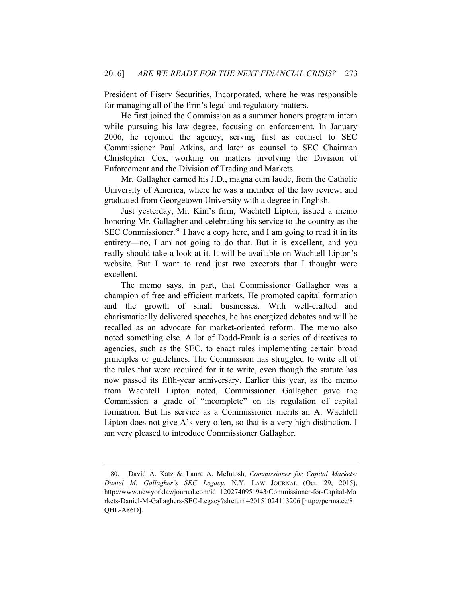President of Fiserv Securities, Incorporated, where he was responsible for managing all of the firm's legal and regulatory matters.

He first joined the Commission as a summer honors program intern while pursuing his law degree, focusing on enforcement. In January 2006, he rejoined the agency, serving first as counsel to SEC Commissioner Paul Atkins, and later as counsel to SEC Chairman Christopher Cox, working on matters involving the Division of Enforcement and the Division of Trading and Markets.

Mr. Gallagher earned his J.D., magna cum laude, from the Catholic University of America, where he was a member of the law review, and graduated from Georgetown University with a degree in English.

Just yesterday, Mr. Kim's firm, Wachtell Lipton, issued a memo honoring Mr. Gallagher and celebrating his service to the country as the SEC Commissioner.<sup>80</sup> I have a copy here, and I am going to read it in its entirety—no, I am not going to do that. But it is excellent, and you really should take a look at it. It will be available on Wachtell Lipton's website. But I want to read just two excerpts that I thought were excellent.

The memo says, in part, that Commissioner Gallagher was a champion of free and efficient markets. He promoted capital formation and the growth of small businesses. With well-crafted and charismatically delivered speeches, he has energized debates and will be recalled as an advocate for market-oriented reform. The memo also noted something else. A lot of Dodd-Frank is a series of directives to agencies, such as the SEC, to enact rules implementing certain broad principles or guidelines. The Commission has struggled to write all of the rules that were required for it to write, even though the statute has now passed its fifth-year anniversary. Earlier this year, as the memo from Wachtell Lipton noted, Commissioner Gallagher gave the Commission a grade of "incomplete" on its regulation of capital formation. But his service as a Commissioner merits an A. Wachtell Lipton does not give A's very often, so that is a very high distinction. I am very pleased to introduce Commissioner Gallagher.

<sup>80.</sup> David A. Katz & Laura A. McIntosh, *Commissioner for Capital Markets: Daniel M. Gallagher's SEC Legacy*, N.Y. LAW JOURNAL (Oct. 29, 2015), http://www.newyorklawjournal.com/id=1202740951943/Commissioner-for-Capital-Ma rkets-Daniel-M-Gallaghers-SEC-Legacy?slreturn=20151024113206 [http://perma.cc/8 QHL-A86D].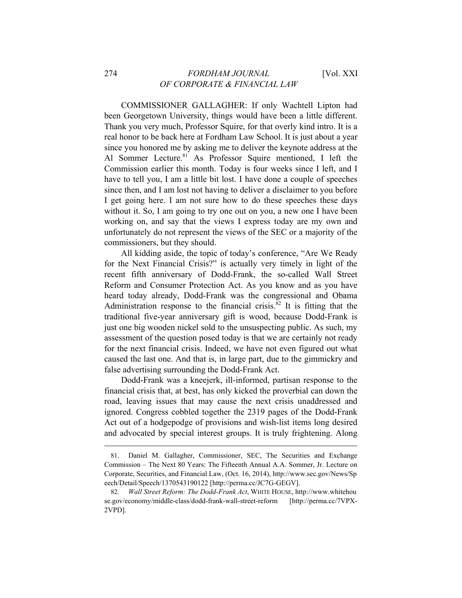### 274 *FORDHAM JOURNAL* [Vol. XXI *OF CORPORATE & FINANCIAL LAW*

COMMISSIONER GALLAGHER: If only Wachtell Lipton had been Georgetown University, things would have been a little different. Thank you very much, Professor Squire, for that overly kind intro. It is a real honor to be back here at Fordham Law School. It is just about a year since you honored me by asking me to deliver the keynote address at the Al Sommer Lecture.<sup>81</sup> As Professor Squire mentioned, I left the Commission earlier this month. Today is four weeks since I left, and I have to tell you, I am a little bit lost. I have done a couple of speeches since then, and I am lost not having to deliver a disclaimer to you before I get going here. I am not sure how to do these speeches these days without it. So, I am going to try one out on you, a new one I have been working on, and say that the views I express today are my own and unfortunately do not represent the views of the SEC or a majority of the commissioners, but they should.

All kidding aside, the topic of today's conference, "Are We Ready for the Next Financial Crisis?" is actually very timely in light of the recent fifth anniversary of Dodd-Frank, the so-called Wall Street Reform and Consumer Protection Act. As you know and as you have heard today already, Dodd-Frank was the congressional and Obama Administration response to the financial crisis.<sup>82</sup> It is fitting that the traditional five-year anniversary gift is wood, because Dodd-Frank is just one big wooden nickel sold to the unsuspecting public. As such, my assessment of the question posed today is that we are certainly not ready for the next financial crisis. Indeed, we have not even figured out what caused the last one. And that is, in large part, due to the gimmickry and false advertising surrounding the Dodd-Frank Act.

Dodd-Frank was a kneejerk, ill-informed, partisan response to the financial crisis that, at best, has only kicked the proverbial can down the road, leaving issues that may cause the next crisis unaddressed and ignored. Congress cobbled together the 2319 pages of the Dodd-Frank Act out of a hodgepodge of provisions and wish-list items long desired and advocated by special interest groups. It is truly frightening. Along

<sup>81.</sup> Daniel M. Gallagher, Commissioner, SEC, The Securities and Exchange Commission – The Next 80 Years: The Fifteenth Annual A.A. Sommer, Jr. Lecture on Corporate, Securities, and Financial Law, (Oct. 16, 2014), http://www.sec.gov/News/Sp eech/Detail/Speech/1370543190122 [http://perma.cc/JC7G-GEGV].

<sup>82</sup>*. Wall Street Reform: The Dodd-Frank Act*, WHITE HOUSE, http://www.whitehou se.gov/economy/middle-class/dodd-frank-wall-street-reform [http://perma.cc/7VPX-2VPD].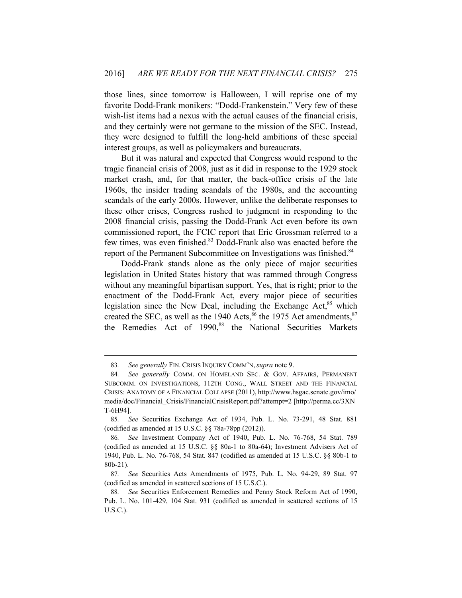those lines, since tomorrow is Halloween, I will reprise one of my favorite Dodd-Frank monikers: "Dodd-Frankenstein." Very few of these wish-list items had a nexus with the actual causes of the financial crisis, and they certainly were not germane to the mission of the SEC. Instead, they were designed to fulfill the long-held ambitions of these special interest groups, as well as policymakers and bureaucrats.

But it was natural and expected that Congress would respond to the tragic financial crisis of 2008, just as it did in response to the 1929 stock market crash, and, for that matter, the back-office crisis of the late 1960s, the insider trading scandals of the 1980s, and the accounting scandals of the early 2000s. However, unlike the deliberate responses to these other crises, Congress rushed to judgment in responding to the 2008 financial crisis, passing the Dodd-Frank Act even before its own commissioned report, the FCIC report that Eric Grossman referred to a few times, was even finished.<sup>83</sup> Dodd-Frank also was enacted before the report of the Permanent Subcommittee on Investigations was finished.<sup>84</sup>

Dodd-Frank stands alone as the only piece of major securities legislation in United States history that was rammed through Congress without any meaningful bipartisan support. Yes, that is right; prior to the enactment of the Dodd-Frank Act, every major piece of securities legislation since the New Deal, including the Exchange Act, $85$  which created the SEC, as well as the 1940 Acts, $86$  the 1975 Act amendments,  $87$ the Remedies Act of 1990,<sup>88</sup> the National Securities Markets

<sup>83</sup>*. See generally* FIN. CRISIS INQUIRY COMM'N, *supra* note 9.

<sup>84</sup>*. See generally* COMM. ON HOMELAND SEC. & GOV. AFFAIRS, PERMANENT SUBCOMM. ON INVESTIGATIONS, 112TH CONG., WALL STREET AND THE FINANCIAL CRISIS: ANATOMY OF A FINANCIAL COLLAPSE (2011), http://www.hsgac.senate.gov/imo/ media/doc/Financial\_Crisis/FinancialCrisisReport.pdf?attempt=2 [http://perma.cc/3XN T-6H94].

<sup>85</sup>*. See* Securities Exchange Act of 1934, Pub. L. No. 73-291, 48 Stat. 881 (codified as amended at 15 U.S.C. §§ 78a-78pp (2012)).

<sup>86</sup>*. See* Investment Company Act of 1940, Pub. L. No. 76-768, 54 Stat. 789 (codified as amended at 15 U.S.C. §§ 80a-1 to 80a-64); Investment Advisers Act of 1940, Pub. L. No. 76-768, 54 Stat. 847 (codified as amended at 15 U.S.C. §§ 80b-1 to 80b-21).

<sup>87</sup>*. See* Securities Acts Amendments of 1975, Pub. L. No. 94-29, 89 Stat. 97 (codified as amended in scattered sections of 15 U.S.C.).

<sup>88</sup>*. See* Securities Enforcement Remedies and Penny Stock Reform Act of 1990, Pub. L. No. 101-429, 104 Stat. 931 (codified as amended in scattered sections of 15 U.S.C.).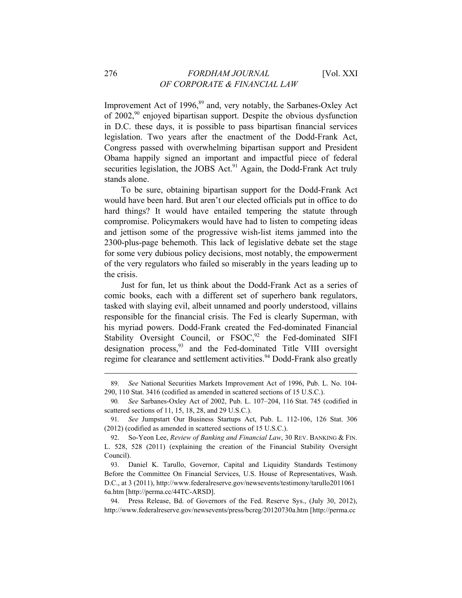Improvement Act of 1996, $89$  and, very notably, the Sarbanes-Oxley Act of 2002,90 enjoyed bipartisan support. Despite the obvious dysfunction in D.C. these days, it is possible to pass bipartisan financial services legislation. Two years after the enactment of the Dodd-Frank Act, Congress passed with overwhelming bipartisan support and President Obama happily signed an important and impactful piece of federal securities legislation, the JOBS Act.<sup>91</sup> Again, the Dodd-Frank Act truly stands alone.

To be sure, obtaining bipartisan support for the Dodd-Frank Act would have been hard. But aren't our elected officials put in office to do hard things? It would have entailed tempering the statute through compromise. Policymakers would have had to listen to competing ideas and jettison some of the progressive wish-list items jammed into the 2300-plus-page behemoth. This lack of legislative debate set the stage for some very dubious policy decisions, most notably, the empowerment of the very regulators who failed so miserably in the years leading up to the crisis.

Just for fun, let us think about the Dodd-Frank Act as a series of comic books, each with a different set of superhero bank regulators, tasked with slaying evil, albeit unnamed and poorly understood, villains responsible for the financial crisis. The Fed is clearly Superman, with his myriad powers. Dodd-Frank created the Fed-dominated Financial Stability Oversight Council, or  $FSOC$ ,<sup>92</sup> the Fed-dominated SIFI designation process, $93$  and the Fed-dominated Title VIII oversight regime for clearance and settlement activities.<sup>94</sup> Dodd-Frank also greatly

<sup>89</sup>*. See* National Securities Markets Improvement Act of 1996, Pub. L. No. 104- 290, 110 Stat. 3416 (codified as amended in scattered sections of 15 U.S.C.).

<sup>90</sup>*. See* Sarbanes-Oxley Act of 2002, Pub. L. 107–204, 116 Stat. 745 (codified in scattered sections of 11, 15, 18, 28, and 29 U.S.C.).

<sup>91</sup>*. See* Jumpstart Our Business Startups Act, Pub. L. 112-106, 126 Stat. 306 (2012) (codified as amended in scattered sections of 15 U.S.C.).

<sup>92.</sup> So-Yeon Lee, *Review of Banking and Financial Law*, 30 REV. BANKING & FIN. L. 528, 528 (2011) (explaining the creation of the Financial Stability Oversight Council).

<sup>93.</sup> Daniel K. Tarullo, Governor, Capital and Liquidity Standards Testimony Before the Committee On Financial Services, U.S. House of Representatives, Wash. D.C., at 3 (2011), http://www.federalreserve.gov/newsevents/testimony/tarullo2011061 6a.htm [http://perma.cc/44TC-ARSD].

<sup>94.</sup> Press Release, Bd. of Governors of the Fed. Reserve Sys., (July 30, 2012), http://www.federalreserve.gov/newsevents/press/bcreg/20120730a.htm [http://perma.cc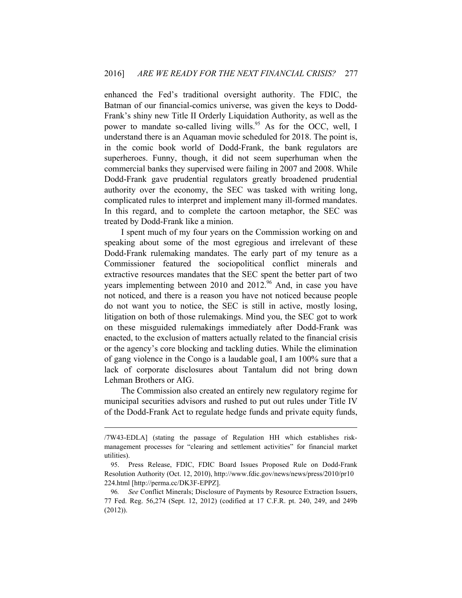enhanced the Fed's traditional oversight authority. The FDIC, the Batman of our financial-comics universe, was given the keys to Dodd-Frank's shiny new Title II Orderly Liquidation Authority, as well as the power to mandate so-called living wills.<sup>95</sup> As for the OCC, well, I understand there is an Aquaman movie scheduled for 2018. The point is, in the comic book world of Dodd-Frank, the bank regulators are superheroes. Funny, though, it did not seem superhuman when the commercial banks they supervised were failing in 2007 and 2008. While Dodd-Frank gave prudential regulators greatly broadened prudential authority over the economy, the SEC was tasked with writing long, complicated rules to interpret and implement many ill-formed mandates. In this regard, and to complete the cartoon metaphor, the SEC was treated by Dodd-Frank like a minion.

I spent much of my four years on the Commission working on and speaking about some of the most egregious and irrelevant of these Dodd-Frank rulemaking mandates. The early part of my tenure as a Commissioner featured the sociopolitical conflict minerals and extractive resources mandates that the SEC spent the better part of two years implementing between 2010 and 2012.<sup>96</sup> And, in case you have not noticed, and there is a reason you have not noticed because people do not want you to notice, the SEC is still in active, mostly losing, litigation on both of those rulemakings. Mind you, the SEC got to work on these misguided rulemakings immediately after Dodd-Frank was enacted, to the exclusion of matters actually related to the financial crisis or the agency's core blocking and tackling duties. While the elimination of gang violence in the Congo is a laudable goal, I am 100% sure that a lack of corporate disclosures about Tantalum did not bring down Lehman Brothers or AIG.

The Commission also created an entirely new regulatory regime for municipal securities advisors and rushed to put out rules under Title IV of the Dodd-Frank Act to regulate hedge funds and private equity funds,

<sup>/7</sup>W43-EDLA] (stating the passage of Regulation HH which establishes riskmanagement processes for "clearing and settlement activities" for financial market utilities).

<sup>95.</sup> Press Release, FDIC, FDIC Board Issues Proposed Rule on Dodd-Frank Resolution Authority (Oct. 12, 2010), http://www.fdic.gov/news/news/press/2010/pr10 224.html [http://perma.cc/DK3F-EPPZ].

<sup>96</sup>*. See* Conflict Minerals; Disclosure of Payments by Resource Extraction Issuers, 77 Fed. Reg. 56,274 (Sept. 12, 2012) (codified at 17 C.F.R. pt. 240, 249, and 249b (2012)).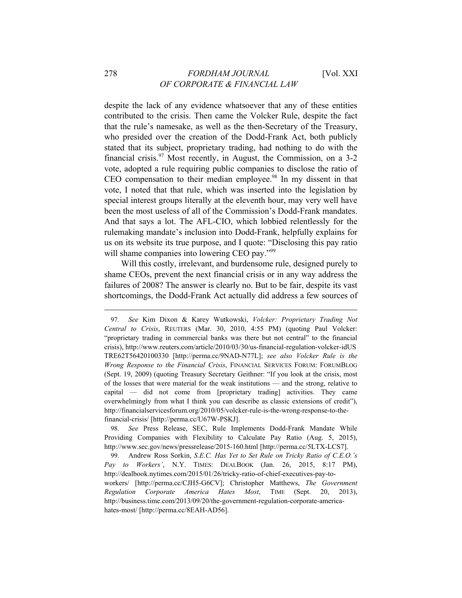despite the lack of any evidence whatsoever that any of these entities contributed to the crisis. Then came the Volcker Rule, despite the fact that the rule's namesake, as well as the then-Secretary of the Treasury, who presided over the creation of the Dodd-Frank Act, both publicly stated that its subject, proprietary trading, had nothing to do with the financial crisis.<sup>97</sup> Most recently, in August, the Commission, on a 3-2 vote, adopted a rule requiring public companies to disclose the ratio of  $CEO$  compensation to their median employee.<sup>98</sup> In my dissent in that vote, I noted that that rule, which was inserted into the legislation by special interest groups literally at the eleventh hour, may very well have been the most useless of all of the Commission's Dodd-Frank mandates. And that says a lot. The AFL-CIO, which lobbied relentlessly for the rulemaking mandate's inclusion into Dodd-Frank, helpfully explains for us on its website its true purpose, and I quote: "Disclosing this pay ratio will shame companies into lowering CEO pay."<sup>99</sup>

Will this costly, irrelevant, and burdensome rule, designed purely to shame CEOs, prevent the next financial crisis or in any way address the failures of 2008? The answer is clearly no. But to be fair, despite its vast shortcomings, the Dodd-Frank Act actually did address a few sources of

<sup>97</sup>*. See* Kim Dixon & Karey Wutkowski, *Volcker: Proprietary Trading Not Central to Crisis*, REUTERS (Mar. 30, 2010, 4:55 PM) (quoting Paul Volcker: "proprietary trading in commercial banks was there but not central" to the financial crisis), http://www.reuters.com/article/2010/03/30/us-financial-regulation-volcker-idUS TRE62T56420100330 [http://perma.cc/9NAD-N77L]; *see also Volcker Rule is the Wrong Response to the Financial Crisis*, FINANCIAL SERVICES FORUM: FORUMBLOG (Sept. 19, 2009) (quoting Treasury Secretary Geithner: "If you look at the crisis, most of the losses that were material for the weak institutions — and the strong, relative to capital — did not come from [proprietary trading] activities. They came overwhelmingly from what I think you can describe as classic extensions of credit"), http://financialservicesforum.org/2010/05/volcker-rule-is-the-wrong-response-to-thefinancial-crisis/ [http://perma.cc/U67W-PSKJ].

<sup>98</sup>*. See* Press Release, SEC, Rule Implements Dodd-Frank Mandate While Providing Companies with Flexibility to Calculate Pay Ratio (Aug. 5, 2015), http://www.sec.gov/news/pressrelease/2015-160.html [http://perma.cc/5LTX-LCS7].

<sup>99.</sup> Andrew Ross Sorkin, *S.E.C. Has Yet to Set Rule on Tricky Ratio of C.E.O.'s Pay to Workers'*, N.Y. TIMES: DEALBOOK (Jan. 26, 2015, 8:17 PM), http://dealbook.nytimes.com/2015/01/26/tricky-ratio-of-chief-executives-pay-toworkers/ [http://perma.cc/CJH5-G6CV]; Christopher Matthews, *The Government Regulation Corporate America Hates Most*, TIME (Sept. 20, 2013), http://business.time.com/2013/09/20/the-government-regulation-corporate-americahates-most/ [http://perma.cc/8EAH-AD56].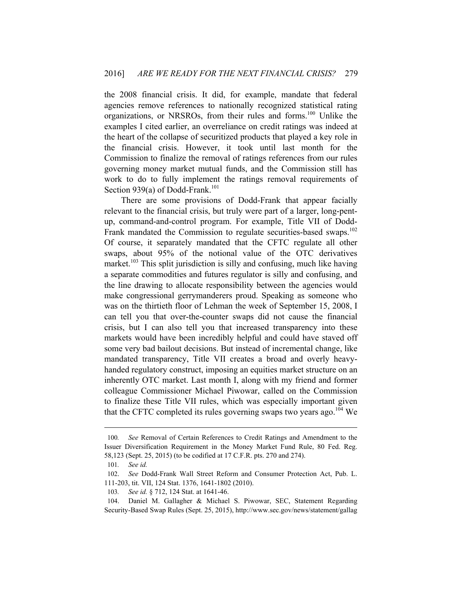the 2008 financial crisis. It did, for example, mandate that federal agencies remove references to nationally recognized statistical rating organizations, or NRSROs, from their rules and forms.100 Unlike the examples I cited earlier, an overreliance on credit ratings was indeed at the heart of the collapse of securitized products that played a key role in the financial crisis. However, it took until last month for the Commission to finalize the removal of ratings references from our rules governing money market mutual funds, and the Commission still has work to do to fully implement the ratings removal requirements of Section 939(a) of Dodd-Frank.<sup>101</sup>

There are some provisions of Dodd-Frank that appear facially relevant to the financial crisis, but truly were part of a larger, long-pentup, command-and-control program. For example, Title VII of Dodd-Frank mandated the Commission to regulate securities-based swaps.<sup>102</sup> Of course, it separately mandated that the CFTC regulate all other swaps, about 95% of the notional value of the OTC derivatives market.<sup>103</sup> This split jurisdiction is silly and confusing, much like having a separate commodities and futures regulator is silly and confusing, and the line drawing to allocate responsibility between the agencies would make congressional gerrymanderers proud. Speaking as someone who was on the thirtieth floor of Lehman the week of September 15, 2008, I can tell you that over-the-counter swaps did not cause the financial crisis, but I can also tell you that increased transparency into these markets would have been incredibly helpful and could have staved off some very bad bailout decisions. But instead of incremental change, like mandated transparency, Title VII creates a broad and overly heavyhanded regulatory construct, imposing an equities market structure on an inherently OTC market. Last month I, along with my friend and former colleague Commissioner Michael Piwowar, called on the Commission to finalize these Title VII rules, which was especially important given that the CFTC completed its rules governing swaps two years ago.<sup>104</sup> We

<sup>100</sup>*. See* Removal of Certain References to Credit Ratings and Amendment to the Issuer Diversification Requirement in the Money Market Fund Rule, 80 Fed. Reg. 58,123 (Sept. 25, 2015) (to be codified at 17 C.F.R. pts. 270 and 274).

<sup>101</sup>*. See id.*

<sup>102.</sup> *See* Dodd-Frank Wall Street Reform and Consumer Protection Act, Pub. L. 111-203, tit. VII, 124 Stat. 1376, 1641-1802 (2010).

<sup>103</sup>*. See id.* § 712, 124 Stat. at 1641-46.

<sup>104.</sup> Daniel M. Gallagher & Michael S. Piwowar, SEC, Statement Regarding Security-Based Swap Rules (Sept. 25, 2015), http://www.sec.gov/news/statement/gallag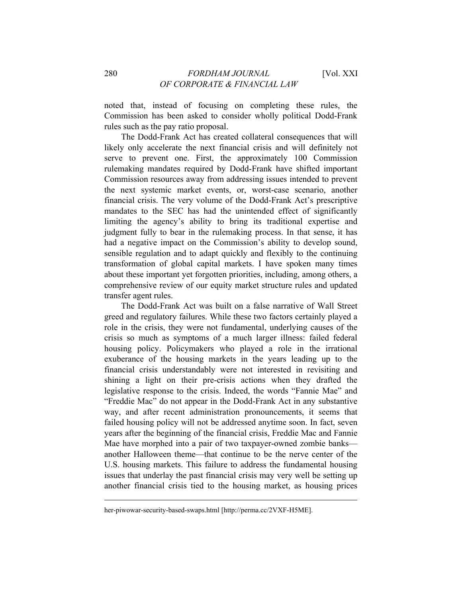noted that, instead of focusing on completing these rules, the Commission has been asked to consider wholly political Dodd-Frank rules such as the pay ratio proposal.

The Dodd-Frank Act has created collateral consequences that will likely only accelerate the next financial crisis and will definitely not serve to prevent one. First, the approximately 100 Commission rulemaking mandates required by Dodd-Frank have shifted important Commission resources away from addressing issues intended to prevent the next systemic market events, or, worst-case scenario, another financial crisis. The very volume of the Dodd-Frank Act's prescriptive mandates to the SEC has had the unintended effect of significantly limiting the agency's ability to bring its traditional expertise and judgment fully to bear in the rulemaking process. In that sense, it has had a negative impact on the Commission's ability to develop sound, sensible regulation and to adapt quickly and flexibly to the continuing transformation of global capital markets. I have spoken many times about these important yet forgotten priorities, including, among others, a comprehensive review of our equity market structure rules and updated transfer agent rules.

The Dodd-Frank Act was built on a false narrative of Wall Street greed and regulatory failures. While these two factors certainly played a role in the crisis, they were not fundamental, underlying causes of the crisis so much as symptoms of a much larger illness: failed federal housing policy. Policymakers who played a role in the irrational exuberance of the housing markets in the years leading up to the financial crisis understandably were not interested in revisiting and shining a light on their pre-crisis actions when they drafted the legislative response to the crisis. Indeed, the words "Fannie Mae" and "Freddie Mac" do not appear in the Dodd-Frank Act in any substantive way, and after recent administration pronouncements, it seems that failed housing policy will not be addressed anytime soon. In fact, seven years after the beginning of the financial crisis, Freddie Mac and Fannie Mae have morphed into a pair of two taxpayer-owned zombie banks another Halloween theme—that continue to be the nerve center of the U.S. housing markets. This failure to address the fundamental housing issues that underlay the past financial crisis may very well be setting up another financial crisis tied to the housing market, as housing prices

her-piwowar-security-based-swaps.html [http://perma.cc/2VXF-H5ME].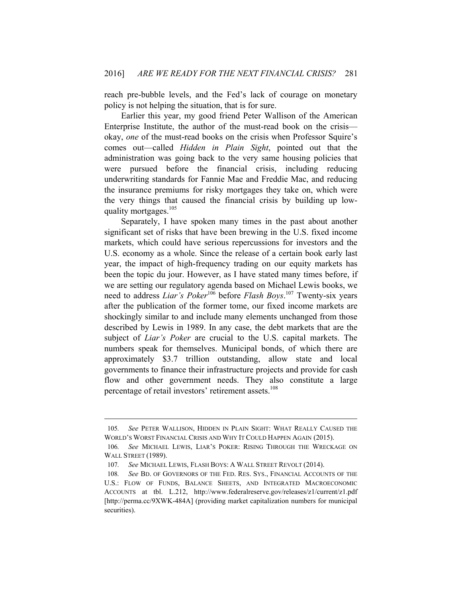reach pre-bubble levels, and the Fed's lack of courage on monetary policy is not helping the situation, that is for sure.

Earlier this year, my good friend Peter Wallison of the American Enterprise Institute, the author of the must-read book on the crisis okay, *one* of the must-read books on the crisis when Professor Squire's comes out—called *Hidden in Plain Sight*, pointed out that the administration was going back to the very same housing policies that were pursued before the financial crisis, including reducing underwriting standards for Fannie Mae and Freddie Mac, and reducing the insurance premiums for risky mortgages they take on, which were the very things that caused the financial crisis by building up lowquality mortgages.<sup>105</sup>

Separately, I have spoken many times in the past about another significant set of risks that have been brewing in the U.S. fixed income markets, which could have serious repercussions for investors and the U.S. economy as a whole. Since the release of a certain book early last year, the impact of high-frequency trading on our equity markets has been the topic du jour. However, as I have stated many times before, if we are setting our regulatory agenda based on Michael Lewis books, we need to address *Liar's Poker*106 before *Flash Boys*. 107 Twenty-six years after the publication of the former tome, our fixed income markets are shockingly similar to and include many elements unchanged from those described by Lewis in 1989. In any case, the debt markets that are the subject of *Liar's Poker* are crucial to the U.S. capital markets. The numbers speak for themselves. Municipal bonds, of which there are approximately \$3.7 trillion outstanding, allow state and local governments to finance their infrastructure projects and provide for cash flow and other government needs. They also constitute a large percentage of retail investors' retirement assets.<sup>108</sup>

<sup>105</sup>*. See* PETER WALLISON, HIDDEN IN PLAIN SIGHT: WHAT REALLY CAUSED THE WORLD'S WORST FINANCIAL CRISIS AND WHY IT COULD HAPPEN AGAIN (2015).

<sup>106</sup>*. See* MICHAEL LEWIS, LIAR'S POKER: RISING THROUGH THE WRECKAGE ON WALL STREET (1989).

<sup>107</sup>*. See* MICHAEL LEWIS, FLASH BOYS: A WALL STREET REVOLT (2014).

<sup>108</sup>*. See* BD. OF GOVERNORS OF THE FED. RES. SYS., FINANCIAL ACCOUNTS OF THE U.S.: FLOW OF FUNDS, BALANCE SHEETS, AND INTEGRATED MACROECONOMIC ACCOUNTS at tbl. L.212, http://www.federalreserve.gov/releases/z1/current/z1.pdf [http://perma.cc/9XWK-484A] (providing market capitalization numbers for municipal securities).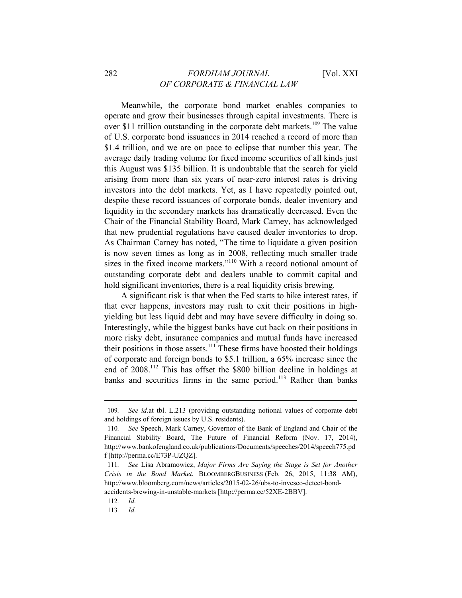Meanwhile, the corporate bond market enables companies to operate and grow their businesses through capital investments. There is over \$11 trillion outstanding in the corporate debt markets.<sup>109</sup> The value of U.S. corporate bond issuances in 2014 reached a record of more than \$1.4 trillion, and we are on pace to eclipse that number this year. The average daily trading volume for fixed income securities of all kinds just this August was \$135 billion. It is undoubtable that the search for yield arising from more than six years of near-zero interest rates is driving investors into the debt markets. Yet, as I have repeatedly pointed out, despite these record issuances of corporate bonds, dealer inventory and liquidity in the secondary markets has dramatically decreased. Even the Chair of the Financial Stability Board, Mark Carney, has acknowledged that new prudential regulations have caused dealer inventories to drop. As Chairman Carney has noted, "The time to liquidate a given position is now seven times as long as in 2008, reflecting much smaller trade sizes in the fixed income markets."<sup>110</sup> With a record notional amount of outstanding corporate debt and dealers unable to commit capital and hold significant inventories, there is a real liquidity crisis brewing.

A significant risk is that when the Fed starts to hike interest rates, if that ever happens, investors may rush to exit their positions in highyielding but less liquid debt and may have severe difficulty in doing so. Interestingly, while the biggest banks have cut back on their positions in more risky debt, insurance companies and mutual funds have increased their positions in those assets.<sup>111</sup> These firms have boosted their holdings of corporate and foreign bonds to \$5.1 trillion, a 65% increase since the end of 2008.112 This has offset the \$800 billion decline in holdings at banks and securities firms in the same period.<sup>113</sup> Rather than banks

<sup>109</sup>*. See id.*at tbl. L.213 (providing outstanding notional values of corporate debt and holdings of foreign issues by U.S. residents).

<sup>110</sup>*. See* Speech, Mark Carney, Governor of the Bank of England and Chair of the Financial Stability Board, The Future of Financial Reform (Nov. 17, 2014), http://www.bankofengland.co.uk/publications/Documents/speeches/2014/speech775.pd f [http://perma.cc/E73P-UZQZ].

<sup>111</sup>*. See* Lisa Abramowicz, *Major Firms Are Saying the Stage is Set for Another Crisis in the Bond Market*, BLOOMBERGBUSINESS (Feb. 26, 2015, 11:38 AM), http://www.bloomberg.com/news/articles/2015-02-26/ubs-to-invesco-detect-bondaccidents-brewing-in-unstable-markets [http://perma.cc/52XE-2BBV].

<sup>112</sup>*. Id.*

<sup>113</sup>*. Id.*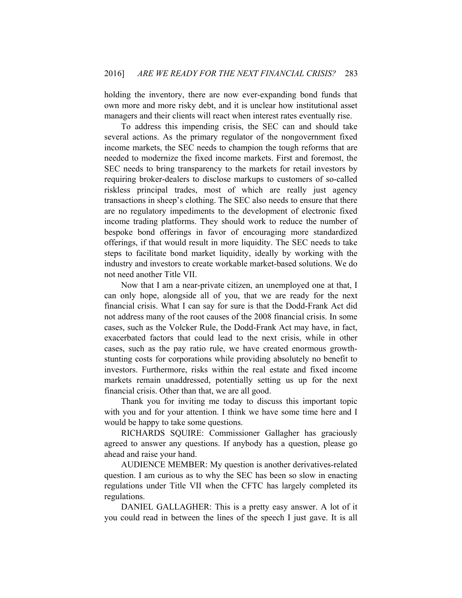holding the inventory, there are now ever-expanding bond funds that own more and more risky debt, and it is unclear how institutional asset managers and their clients will react when interest rates eventually rise.

To address this impending crisis, the SEC can and should take several actions. As the primary regulator of the nongovernment fixed income markets, the SEC needs to champion the tough reforms that are needed to modernize the fixed income markets. First and foremost, the SEC needs to bring transparency to the markets for retail investors by requiring broker-dealers to disclose markups to customers of so-called riskless principal trades, most of which are really just agency transactions in sheep's clothing. The SEC also needs to ensure that there are no regulatory impediments to the development of electronic fixed income trading platforms. They should work to reduce the number of bespoke bond offerings in favor of encouraging more standardized offerings, if that would result in more liquidity. The SEC needs to take steps to facilitate bond market liquidity, ideally by working with the industry and investors to create workable market-based solutions. We do not need another Title VII.

Now that I am a near-private citizen, an unemployed one at that, I can only hope, alongside all of you, that we are ready for the next financial crisis. What I can say for sure is that the Dodd-Frank Act did not address many of the root causes of the 2008 financial crisis. In some cases, such as the Volcker Rule, the Dodd-Frank Act may have, in fact, exacerbated factors that could lead to the next crisis, while in other cases, such as the pay ratio rule, we have created enormous growthstunting costs for corporations while providing absolutely no benefit to investors. Furthermore, risks within the real estate and fixed income markets remain unaddressed, potentially setting us up for the next financial crisis. Other than that, we are all good.

Thank you for inviting me today to discuss this important topic with you and for your attention. I think we have some time here and I would be happy to take some questions.

RICHARDS SQUIRE: Commissioner Gallagher has graciously agreed to answer any questions. If anybody has a question, please go ahead and raise your hand.

AUDIENCE MEMBER: My question is another derivatives-related question. I am curious as to why the SEC has been so slow in enacting regulations under Title VII when the CFTC has largely completed its regulations.

DANIEL GALLAGHER: This is a pretty easy answer. A lot of it you could read in between the lines of the speech I just gave. It is all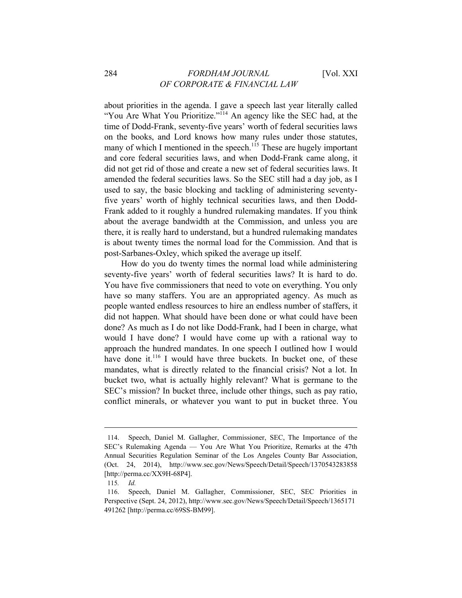about priorities in the agenda. I gave a speech last year literally called "You Are What You Prioritize."<sup>114</sup> An agency like the SEC had, at the time of Dodd-Frank, seventy-five years' worth of federal securities laws on the books, and Lord knows how many rules under those statutes, many of which I mentioned in the speech.<sup>115</sup> These are hugely important and core federal securities laws, and when Dodd-Frank came along, it did not get rid of those and create a new set of federal securities laws. It amended the federal securities laws. So the SEC still had a day job, as I used to say, the basic blocking and tackling of administering seventyfive years' worth of highly technical securities laws, and then Dodd-Frank added to it roughly a hundred rulemaking mandates. If you think about the average bandwidth at the Commission, and unless you are there, it is really hard to understand, but a hundred rulemaking mandates is about twenty times the normal load for the Commission. And that is post-Sarbanes-Oxley, which spiked the average up itself.

How do you do twenty times the normal load while administering seventy-five years' worth of federal securities laws? It is hard to do. You have five commissioners that need to vote on everything. You only have so many staffers. You are an appropriated agency. As much as people wanted endless resources to hire an endless number of staffers, it did not happen. What should have been done or what could have been done? As much as I do not like Dodd-Frank, had I been in charge, what would I have done? I would have come up with a rational way to approach the hundred mandates. In one speech I outlined how I would have done it.<sup>116</sup> I would have three buckets. In bucket one, of these mandates, what is directly related to the financial crisis? Not a lot. In bucket two, what is actually highly relevant? What is germane to the SEC's mission? In bucket three, include other things, such as pay ratio, conflict minerals, or whatever you want to put in bucket three. You

<sup>114.</sup> Speech, Daniel M. Gallagher, Commissioner, SEC, The Importance of the SEC's Rulemaking Agenda — You Are What You Prioritize, Remarks at the 47th Annual Securities Regulation Seminar of the Los Angeles County Bar Association, (Oct. 24, 2014), http://www.sec.gov/News/Speech/Detail/Speech/1370543283858 [http://perma.cc/XX9H-68P4].

<sup>115</sup>*. Id.*

<sup>116.</sup> Speech, Daniel M. Gallagher, Commissioner, SEC, SEC Priorities in Perspective (Sept. 24, 2012), http://www.sec.gov/News/Speech/Detail/Speech/1365171 491262 [http://perma.cc/69SS-BM99].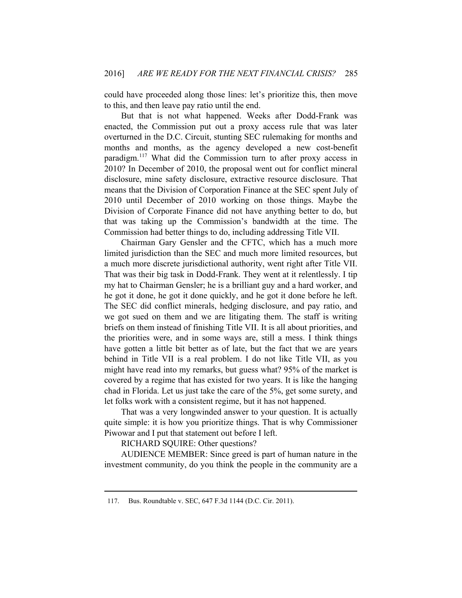could have proceeded along those lines: let's prioritize this, then move to this, and then leave pay ratio until the end.

But that is not what happened. Weeks after Dodd-Frank was enacted, the Commission put out a proxy access rule that was later overturned in the D.C. Circuit, stunting SEC rulemaking for months and months and months, as the agency developed a new cost-benefit paradigm.117 What did the Commission turn to after proxy access in 2010? In December of 2010, the proposal went out for conflict mineral disclosure, mine safety disclosure, extractive resource disclosure. That means that the Division of Corporation Finance at the SEC spent July of 2010 until December of 2010 working on those things. Maybe the Division of Corporate Finance did not have anything better to do, but that was taking up the Commission's bandwidth at the time. The Commission had better things to do, including addressing Title VII.

Chairman Gary Gensler and the CFTC, which has a much more limited jurisdiction than the SEC and much more limited resources, but a much more discrete jurisdictional authority, went right after Title VII. That was their big task in Dodd-Frank. They went at it relentlessly. I tip my hat to Chairman Gensler; he is a brilliant guy and a hard worker, and he got it done, he got it done quickly, and he got it done before he left. The SEC did conflict minerals, hedging disclosure, and pay ratio, and we got sued on them and we are litigating them. The staff is writing briefs on them instead of finishing Title VII. It is all about priorities, and the priorities were, and in some ways are, still a mess. I think things have gotten a little bit better as of late, but the fact that we are years behind in Title VII is a real problem. I do not like Title VII, as you might have read into my remarks, but guess what? 95% of the market is covered by a regime that has existed for two years. It is like the hanging chad in Florida. Let us just take the care of the 5%, get some surety, and let folks work with a consistent regime, but it has not happened.

That was a very longwinded answer to your question. It is actually quite simple: it is how you prioritize things. That is why Commissioner Piwowar and I put that statement out before I left.

RICHARD SQUIRE: Other questions?

 $\overline{a}$ 

AUDIENCE MEMBER: Since greed is part of human nature in the investment community, do you think the people in the community are a

<sup>117.</sup> Bus. Roundtable v. SEC, 647 F.3d 1144 (D.C. Cir. 2011).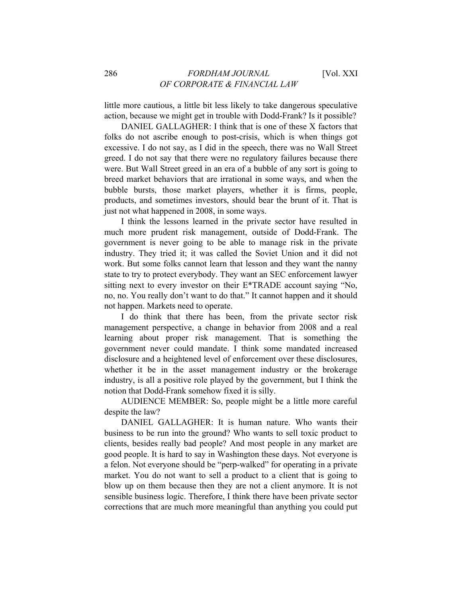little more cautious, a little bit less likely to take dangerous speculative action, because we might get in trouble with Dodd-Frank? Is it possible?

DANIEL GALLAGHER: I think that is one of these X factors that folks do not ascribe enough to post-crisis, which is when things got excessive. I do not say, as I did in the speech, there was no Wall Street greed. I do not say that there were no regulatory failures because there were. But Wall Street greed in an era of a bubble of any sort is going to breed market behaviors that are irrational in some ways, and when the bubble bursts, those market players, whether it is firms, people, products, and sometimes investors, should bear the brunt of it. That is just not what happened in 2008, in some ways.

I think the lessons learned in the private sector have resulted in much more prudent risk management, outside of Dodd-Frank. The government is never going to be able to manage risk in the private industry. They tried it; it was called the Soviet Union and it did not work. But some folks cannot learn that lesson and they want the nanny state to try to protect everybody. They want an SEC enforcement lawyer sitting next to every investor on their E\*TRADE account saying "No, no, no. You really don't want to do that." It cannot happen and it should not happen. Markets need to operate.

I do think that there has been, from the private sector risk management perspective, a change in behavior from 2008 and a real learning about proper risk management. That is something the government never could mandate. I think some mandated increased disclosure and a heightened level of enforcement over these disclosures, whether it be in the asset management industry or the brokerage industry, is all a positive role played by the government, but I think the notion that Dodd-Frank somehow fixed it is silly.

AUDIENCE MEMBER: So, people might be a little more careful despite the law?

DANIEL GALLAGHER: It is human nature. Who wants their business to be run into the ground? Who wants to sell toxic product to clients, besides really bad people? And most people in any market are good people. It is hard to say in Washington these days. Not everyone is a felon. Not everyone should be "perp-walked" for operating in a private market. You do not want to sell a product to a client that is going to blow up on them because then they are not a client anymore. It is not sensible business logic. Therefore, I think there have been private sector corrections that are much more meaningful than anything you could put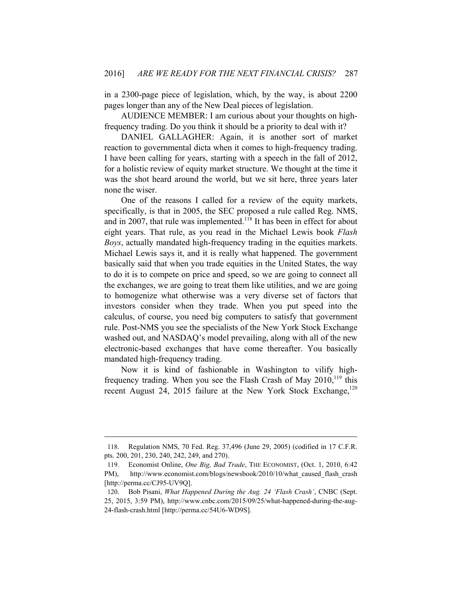in a 2300-page piece of legislation, which, by the way, is about 2200 pages longer than any of the New Deal pieces of legislation.

AUDIENCE MEMBER: I am curious about your thoughts on highfrequency trading. Do you think it should be a priority to deal with it?

DANIEL GALLAGHER: Again, it is another sort of market reaction to governmental dicta when it comes to high-frequency trading. I have been calling for years, starting with a speech in the fall of 2012, for a holistic review of equity market structure. We thought at the time it was the shot heard around the world, but we sit here, three years later none the wiser.

One of the reasons I called for a review of the equity markets, specifically, is that in 2005, the SEC proposed a rule called Reg. NMS, and in 2007, that rule was implemented.<sup>118</sup> It has been in effect for about eight years. That rule, as you read in the Michael Lewis book *Flash Boys*, actually mandated high-frequency trading in the equities markets. Michael Lewis says it, and it is really what happened. The government basically said that when you trade equities in the United States, the way to do it is to compete on price and speed, so we are going to connect all the exchanges, we are going to treat them like utilities, and we are going to homogenize what otherwise was a very diverse set of factors that investors consider when they trade. When you put speed into the calculus, of course, you need big computers to satisfy that government rule. Post-NMS you see the specialists of the New York Stock Exchange washed out, and NASDAQ's model prevailing, along with all of the new electronic-based exchanges that have come thereafter. You basically mandated high-frequency trading.

Now it is kind of fashionable in Washington to vilify highfrequency trading. When you see the Flash Crash of May  $2010$ ,  $119$  this recent August 24, 2015 failure at the New York Stock Exchange,  $120$ 

<sup>118.</sup> Regulation NMS, 70 Fed. Reg. 37,496 (June 29, 2005) (codified in 17 C.F.R. pts. 200, 201, 230, 240, 242, 249, and 270).

<sup>119.</sup> Economist Online, *One Big, Bad Trade*, THE ECONOMIST, (Oct. 1, 2010, 6:42 PM), http://www.economist.com/blogs/newsbook/2010/10/what caused flash crash [http://perma.cc/CJ95-UV9Q].

<sup>120.</sup> Bob Pisani, *What Happened During the Aug. 24 'Flash Crash'*, CNBC (Sept. 25, 2015, 3:59 PM), http://www.cnbc.com/2015/09/25/what-happened-during-the-aug-24-flash-crash.html [http://perma.cc/54U6-WD9S].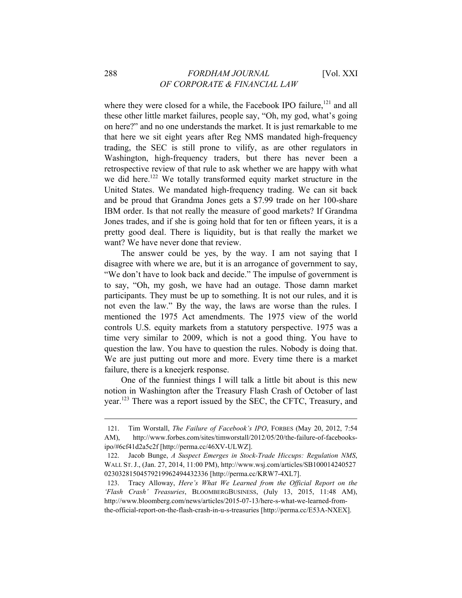where they were closed for a while, the Facebook IPO failure, $121$  and all these other little market failures, people say, "Oh, my god, what's going on here?" and no one understands the market. It is just remarkable to me that here we sit eight years after Reg NMS mandated high-frequency trading, the SEC is still prone to vilify, as are other regulators in Washington, high-frequency traders, but there has never been a retrospective review of that rule to ask whether we are happy with what we did here.<sup>122</sup> We totally transformed equity market structure in the United States. We mandated high-frequency trading. We can sit back and be proud that Grandma Jones gets a \$7.99 trade on her 100-share IBM order. Is that not really the measure of good markets? If Grandma Jones trades, and if she is going hold that for ten or fifteen years, it is a pretty good deal. There is liquidity, but is that really the market we want? We have never done that review.

The answer could be yes, by the way. I am not saying that I disagree with where we are, but it is an arrogance of government to say, "We don't have to look back and decide." The impulse of government is to say, "Oh, my gosh, we have had an outage. Those damn market participants. They must be up to something. It is not our rules, and it is not even the law." By the way, the laws are worse than the rules. I mentioned the 1975 Act amendments. The 1975 view of the world controls U.S. equity markets from a statutory perspective. 1975 was a time very similar to 2009, which is not a good thing. You have to question the law. You have to question the rules. Nobody is doing that. We are just putting out more and more. Every time there is a market failure, there is a kneejerk response.

One of the funniest things I will talk a little bit about is this new notion in Washington after the Treasury Flash Crash of October of last year.123 There was a report issued by the SEC, the CFTC, Treasury, and

<sup>121.</sup> Tim Worstall, *The Failure of Facebook's IPO*, FORBES (May 20, 2012, 7:54 AM), http://www.forbes.com/sites/timworstall/2012/05/20/the-failure-of-facebooksipo/#6cf41d2a5c2f [http://perma.cc/46XV-ULWZ].

<sup>122.</sup> Jacob Bunge, *A Suspect Emerges in Stock-Trade Hiccups: Regulation NMS*, WALL ST. J., (Jan. 27, 2014, 11:00 PM), http://www.wsj.com/articles/SB100014240527 02303281504579219962494432336 [http://perma.cc/KRW7-4XL7].

<sup>123.</sup> Tracy Alloway, *Here's What We Learned from the Official Report on the 'Flash Crash' Treasuries*, BLOOMBERGBUSINESS, (July 13, 2015, 11:48 AM), http://www.bloomberg.com/news/articles/2015-07-13/here-s-what-we-learned-fromthe-official-report-on-the-flash-crash-in-u-s-treasuries [http://perma.cc/E53A-NXEX].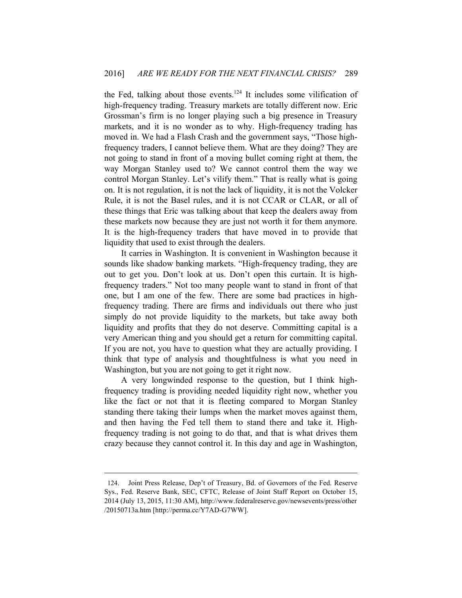the Fed, talking about those events.<sup>124</sup> It includes some vilification of high-frequency trading. Treasury markets are totally different now. Eric Grossman's firm is no longer playing such a big presence in Treasury markets, and it is no wonder as to why. High-frequency trading has moved in. We had a Flash Crash and the government says, "Those highfrequency traders, I cannot believe them. What are they doing? They are not going to stand in front of a moving bullet coming right at them, the way Morgan Stanley used to? We cannot control them the way we control Morgan Stanley. Let's vilify them." That is really what is going on. It is not regulation, it is not the lack of liquidity, it is not the Volcker Rule, it is not the Basel rules, and it is not CCAR or CLAR, or all of these things that Eric was talking about that keep the dealers away from these markets now because they are just not worth it for them anymore. It is the high-frequency traders that have moved in to provide that liquidity that used to exist through the dealers.

It carries in Washington. It is convenient in Washington because it sounds like shadow banking markets. "High-frequency trading, they are out to get you. Don't look at us. Don't open this curtain. It is highfrequency traders." Not too many people want to stand in front of that one, but I am one of the few. There are some bad practices in highfrequency trading. There are firms and individuals out there who just simply do not provide liquidity to the markets, but take away both liquidity and profits that they do not deserve. Committing capital is a very American thing and you should get a return for committing capital. If you are not, you have to question what they are actually providing. I think that type of analysis and thoughtfulness is what you need in Washington, but you are not going to get it right now.

A very longwinded response to the question, but I think highfrequency trading is providing needed liquidity right now, whether you like the fact or not that it is fleeting compared to Morgan Stanley standing there taking their lumps when the market moves against them, and then having the Fed tell them to stand there and take it. Highfrequency trading is not going to do that, and that is what drives them crazy because they cannot control it. In this day and age in Washington,

<sup>124.</sup> Joint Press Release, Dep't of Treasury, Bd. of Governors of the Fed. Reserve Sys., Fed. Reserve Bank, SEC, CFTC, Release of Joint Staff Report on October 15, 2014 (July 13, 2015, 11:30 AM), http://www.federalreserve.gov/newsevents/press/other /20150713a.htm [http://perma.cc/Y7AD-G7WW].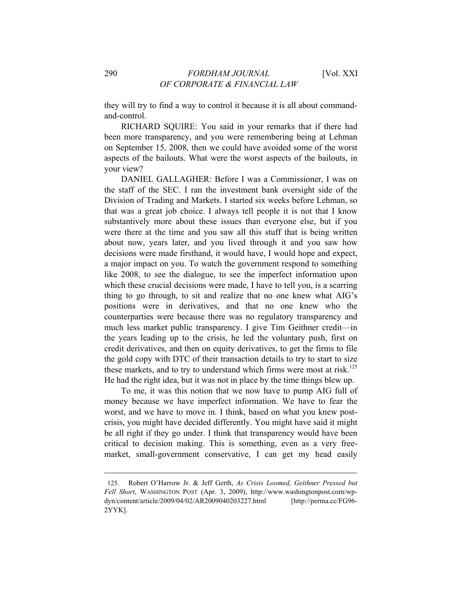they will try to find a way to control it because it is all about commandand-control.

RICHARD SQUIRE: You said in your remarks that if there had been more transparency, and you were remembering being at Lehman on September 15, 2008, then we could have avoided some of the worst aspects of the bailouts. What were the worst aspects of the bailouts, in your view?

DANIEL GALLAGHER: Before I was a Commissioner, I was on the staff of the SEC. I ran the investment bank oversight side of the Division of Trading and Markets. I started six weeks before Lehman, so that was a great job choice. I always tell people it is not that I know substantively more about these issues than everyone else, but if you were there at the time and you saw all this stuff that is being written about now, years later, and you lived through it and you saw how decisions were made firsthand, it would have, I would hope and expect, a major impact on you. To watch the government respond to something like 2008, to see the dialogue, to see the imperfect information upon which these crucial decisions were made. I have to tell you, is a scarring thing to go through, to sit and realize that no one knew what AIG's positions were in derivatives, and that no one knew who the counterparties were because there was no regulatory transparency and much less market public transparency. I give Tim Geithner credit—in the years leading up to the crisis, he led the voluntary push, first on credit derivatives, and then on equity derivatives, to get the firms to file the gold copy with DTC of their transaction details to try to start to size these markets, and to try to understand which firms were most at risk.<sup>125</sup> He had the right idea, but it was not in place by the time things blew up.

To me, it was this notion that we now have to pump AIG full of money because we have imperfect information. We have to fear the worst, and we have to move in. I think, based on what you knew postcrisis, you might have decided differently. You might have said it might be all right if they go under. I think that transparency would have been critical to decision making. This is something, even as a very freemarket, small-government conservative, I can get my head easily

<sup>125.</sup> Robert O'Harrow Jr. & Jeff Gerth, *As Crisis Loomed, Geithner Pressed but Fell Short*, WASHINGTON POST (Apr. 3, 2009), http://www.washingtonpost.com/wpdyn/content/article/2009/04/02/AR2009040203227.html [http://perma.cc/FG96- 2YYK].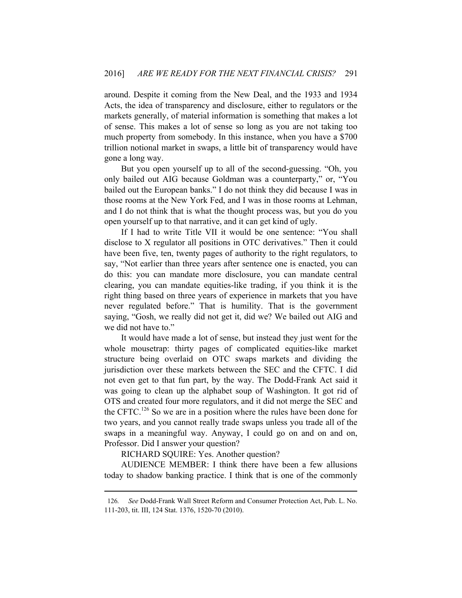around. Despite it coming from the New Deal, and the 1933 and 1934 Acts, the idea of transparency and disclosure, either to regulators or the markets generally, of material information is something that makes a lot of sense. This makes a lot of sense so long as you are not taking too much property from somebody. In this instance, when you have a \$700 trillion notional market in swaps, a little bit of transparency would have gone a long way.

But you open yourself up to all of the second-guessing. "Oh, you only bailed out AIG because Goldman was a counterparty," or, "You bailed out the European banks." I do not think they did because I was in those rooms at the New York Fed, and I was in those rooms at Lehman, and I do not think that is what the thought process was, but you do you open yourself up to that narrative, and it can get kind of ugly.

If I had to write Title VII it would be one sentence: "You shall disclose to X regulator all positions in OTC derivatives." Then it could have been five, ten, twenty pages of authority to the right regulators, to say, "Not earlier than three years after sentence one is enacted, you can do this: you can mandate more disclosure, you can mandate central clearing, you can mandate equities-like trading, if you think it is the right thing based on three years of experience in markets that you have never regulated before." That is humility. That is the government saying, "Gosh, we really did not get it, did we? We bailed out AIG and we did not have to."

It would have made a lot of sense, but instead they just went for the whole mousetrap: thirty pages of complicated equities-like market structure being overlaid on OTC swaps markets and dividing the jurisdiction over these markets between the SEC and the CFTC. I did not even get to that fun part, by the way. The Dodd-Frank Act said it was going to clean up the alphabet soup of Washington. It got rid of OTS and created four more regulators, and it did not merge the SEC and the CFTC.<sup>126</sup> So we are in a position where the rules have been done for two years, and you cannot really trade swaps unless you trade all of the swaps in a meaningful way. Anyway, I could go on and on and on, Professor. Did I answer your question?

RICHARD SQUIRE: Yes. Another question?

 $\overline{a}$ 

AUDIENCE MEMBER: I think there have been a few allusions today to shadow banking practice. I think that is one of the commonly

<sup>126</sup>*. See* Dodd-Frank Wall Street Reform and Consumer Protection Act, Pub. L. No. 111-203, tit. III, 124 Stat. 1376, 1520-70 (2010).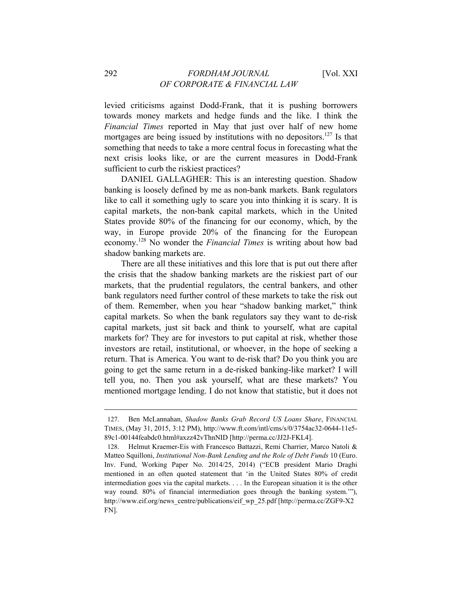levied criticisms against Dodd-Frank, that it is pushing borrowers towards money markets and hedge funds and the like. I think the *Financial Times* reported in May that just over half of new home mortgages are being issued by institutions with no depositors.<sup>127</sup> Is that something that needs to take a more central focus in forecasting what the next crisis looks like, or are the current measures in Dodd-Frank sufficient to curb the riskiest practices?

DANIEL GALLAGHER: This is an interesting question. Shadow banking is loosely defined by me as non-bank markets. Bank regulators like to call it something ugly to scare you into thinking it is scary. It is capital markets, the non-bank capital markets, which in the United States provide 80% of the financing for our economy, which, by the way, in Europe provide 20% of the financing for the European economy.128 No wonder the *Financial Times* is writing about how bad shadow banking markets are.

There are all these initiatives and this lore that is put out there after the crisis that the shadow banking markets are the riskiest part of our markets, that the prudential regulators, the central bankers, and other bank regulators need further control of these markets to take the risk out of them. Remember, when you hear "shadow banking market," think capital markets. So when the bank regulators say they want to de-risk capital markets, just sit back and think to yourself, what are capital markets for? They are for investors to put capital at risk, whether those investors are retail, institutional, or whoever, in the hope of seeking a return. That is America. You want to de-risk that? Do you think you are going to get the same return in a de-risked banking-like market? I will tell you, no. Then you ask yourself, what are these markets? You mentioned mortgage lending. I do not know that statistic, but it does not

<sup>127.</sup> Ben McLannahan, *Shadow Banks Grab Record US Loans Share*, FINANCIAL TIMES, (May 31, 2015, 3:12 PM), http://www.ft.com/intl/cms/s/0/3754ac32-0644-11e5- 89c1-00144feabdc0.html#axzz42vThnNID [http://perma.cc/JJ2J-FKL4].

<sup>128.</sup> Helmut Kraemer-Eis with Francesco Battazzi, Remi Charrier, Marco Natoli & Matteo Squilloni, *Institutional Non-Bank Lending and the Role of Debt Funds* 10 (Euro. Inv. Fund, Working Paper No. 2014/25, 2014) ("ECB president Mario Draghi mentioned in an often quoted statement that 'in the United States 80% of credit intermediation goes via the capital markets. . . . In the European situation it is the other way round. 80% of financial intermediation goes through the banking system.'"), http://www.eif.org/news\_centre/publications/eif\_wp\_25.pdf [http://perma.cc/ZGF9-X2 FN].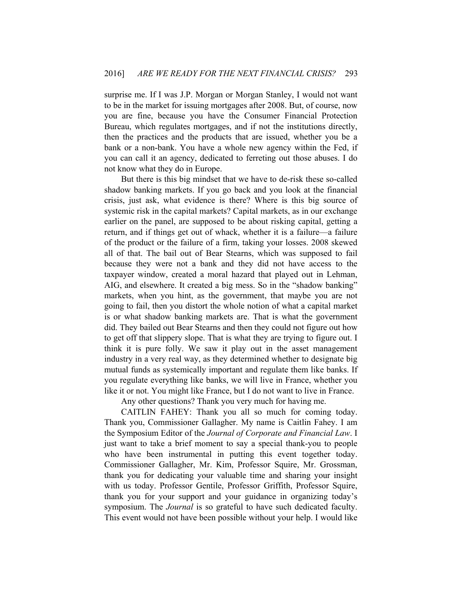surprise me. If I was J.P. Morgan or Morgan Stanley, I would not want to be in the market for issuing mortgages after 2008. But, of course, now you are fine, because you have the Consumer Financial Protection Bureau, which regulates mortgages, and if not the institutions directly, then the practices and the products that are issued, whether you be a bank or a non-bank. You have a whole new agency within the Fed, if you can call it an agency, dedicated to ferreting out those abuses. I do not know what they do in Europe.

But there is this big mindset that we have to de-risk these so-called shadow banking markets. If you go back and you look at the financial crisis, just ask, what evidence is there? Where is this big source of systemic risk in the capital markets? Capital markets, as in our exchange earlier on the panel, are supposed to be about risking capital, getting a return, and if things get out of whack, whether it is a failure—a failure of the product or the failure of a firm, taking your losses. 2008 skewed all of that. The bail out of Bear Stearns, which was supposed to fail because they were not a bank and they did not have access to the taxpayer window, created a moral hazard that played out in Lehman, AIG, and elsewhere. It created a big mess. So in the "shadow banking" markets, when you hint, as the government, that maybe you are not going to fail, then you distort the whole notion of what a capital market is or what shadow banking markets are. That is what the government did. They bailed out Bear Stearns and then they could not figure out how to get off that slippery slope. That is what they are trying to figure out. I think it is pure folly. We saw it play out in the asset management industry in a very real way, as they determined whether to designate big mutual funds as systemically important and regulate them like banks. If you regulate everything like banks, we will live in France, whether you like it or not. You might like France, but I do not want to live in France.

Any other questions? Thank you very much for having me.

CAITLIN FAHEY: Thank you all so much for coming today. Thank you, Commissioner Gallagher. My name is Caitlin Fahey. I am the Symposium Editor of the *Journal of Corporate and Financial Law*. I just want to take a brief moment to say a special thank-you to people who have been instrumental in putting this event together today. Commissioner Gallagher, Mr. Kim, Professor Squire, Mr. Grossman, thank you for dedicating your valuable time and sharing your insight with us today. Professor Gentile, Professor Griffith, Professor Squire, thank you for your support and your guidance in organizing today's symposium. The *Journal* is so grateful to have such dedicated faculty. This event would not have been possible without your help. I would like